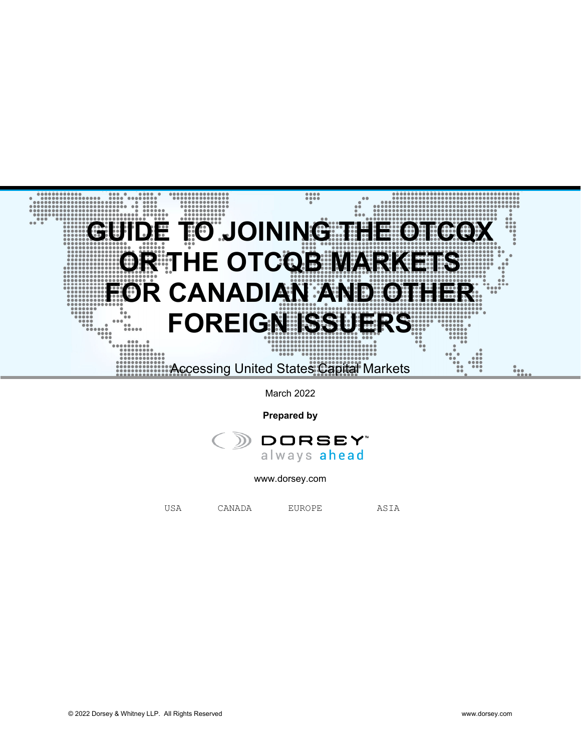

March 2022

**Prepared by**



www.dorsey.com

USA CANADA EUROPE ASIA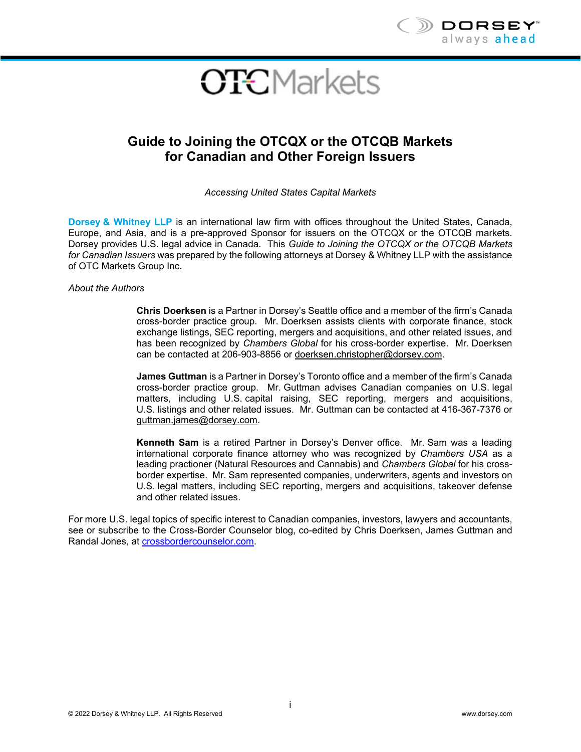

# **OTCMarkets**

# **Guide to Joining the OTCQX or the OTCQB Markets for Canadian and Other Foreign Issuers**

*Accessing United States Capital Markets* 

**Dorsey & Whitney LLP** is an international law firm with offices throughout the United States, Canada, Europe, and Asia, and is a pre-approved Sponsor for issuers on the OTCQX or the OTCQB markets. Dorsey provides U.S. legal advice in Canada. This *Guide to Joining the OTCQX or the OTCQB Markets for Canadian Issuers* was prepared by the following attorneys at Dorsey & Whitney LLP with the assistance of OTC Markets Group Inc.

*About the Authors* 

**Chris Doerksen** is a Partner in Dorsey's Seattle office and a member of the firm's Canada cross-border practice group. Mr. Doerksen assists clients with corporate finance, stock exchange listings, SEC reporting, mergers and acquisitions, and other related issues, and has been recognized by *Chambers Global* for his cross-border expertise. Mr. Doerksen can be contacted at 206-903-8856 or doerksen.christopher@dorsey.com.

**James Guttman** is a Partner in Dorsey's Toronto office and a member of the firm's Canada cross-border practice group. Mr. Guttman advises Canadian companies on U.S. legal matters, including U.S. capital raising, SEC reporting, mergers and acquisitions, U.S. listings and other related issues. Mr. Guttman can be contacted at 416-367-7376 or guttman.james@dorsey.com.

**Kenneth Sam** is a retired Partner in Dorsey's Denver office. Mr. Sam was a leading international corporate finance attorney who was recognized by *Chambers USA* as a leading practioner (Natural Resources and Cannabis) and *Chambers Global* for his crossborder expertise. Mr. Sam represented companies, underwriters, agents and investors on U.S. legal matters, including SEC reporting, mergers and acquisitions, takeover defense and other related issues.

For more U.S. legal topics of specific interest to Canadian companies, investors, lawyers and accountants, see or subscribe to the Cross-Border Counselor blog, co-edited by Chris Doerksen, James Guttman and Randal Jones, at crossbordercounselor.com.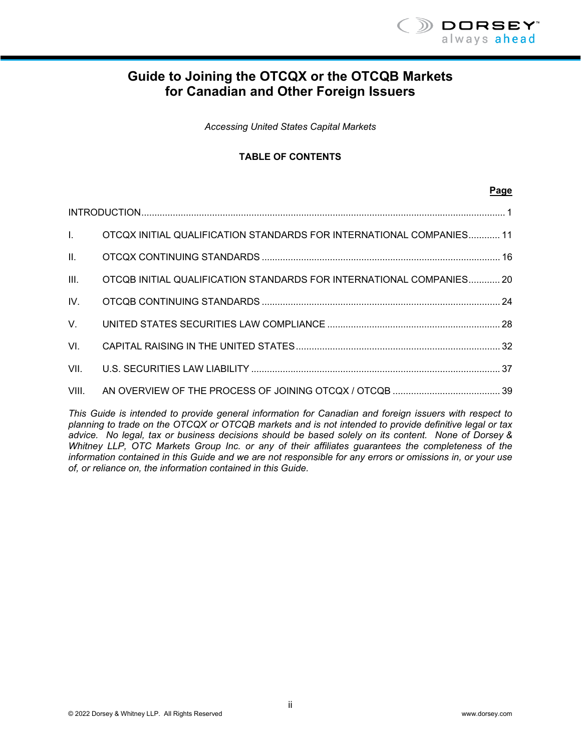

# **Guide to Joining the OTCQX or the OTCQB Markets for Canadian and Other Foreign Issuers**

*Accessing United States Capital Markets* 

#### **TABLE OF CONTENTS**

#### **Page**

| Letters in | OTCQX INITIAL QUALIFICATION STANDARDS FOR INTERNATIONAL COMPANIES 11 |  |  |
|------------|----------------------------------------------------------------------|--|--|
|            |                                                                      |  |  |
| III.       | OTCQB INITIAL QUALIFICATION STANDARDS FOR INTERNATIONAL COMPANIES 20 |  |  |
| IV.        |                                                                      |  |  |
|            |                                                                      |  |  |
| VI.        |                                                                      |  |  |
| VII.       |                                                                      |  |  |
|            |                                                                      |  |  |

*This Guide is intended to provide general information for Canadian and foreign issuers with respect to planning to trade on the OTCQX or OTCQB markets and is not intended to provide definitive legal or tax advice. No legal, tax or business decisions should be based solely on its content. None of Dorsey & Whitney LLP, OTC Markets Group Inc. or any of their affiliates guarantees the completeness of the information contained in this Guide and we are not responsible for any errors or omissions in, or your use of, or reliance on, the information contained in this Guide.*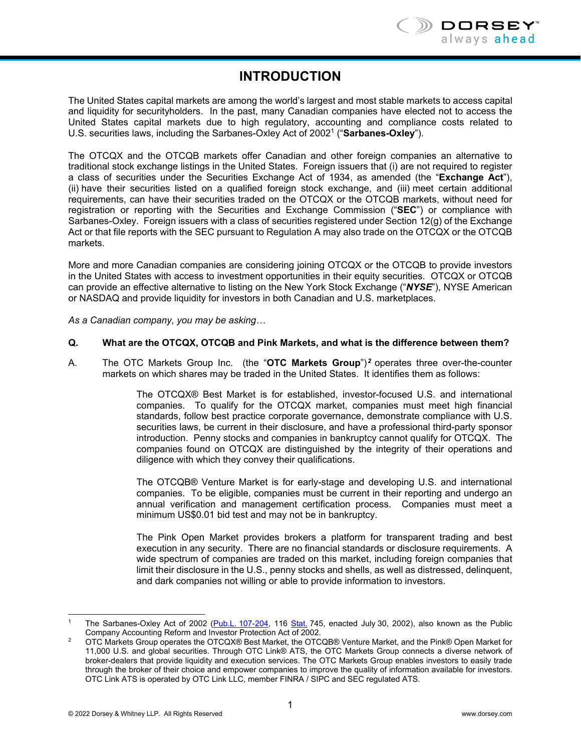# **INTRODUCTION**

The United States capital markets are among the world's largest and most stable markets to access capital and liquidity for securityholders. In the past, many Canadian companies have elected not to access the United States capital markets due to high regulatory, accounting and compliance costs related to U.S. securities laws, including the Sarbanes-Oxley Act of 20021 ("**Sarbanes-Oxley**").

The OTCQX and the OTCQB markets offer Canadian and other foreign companies an alternative to traditional stock exchange listings in the United States. Foreign issuers that (i) are not required to register a class of securities under the Securities Exchange Act of 1934, as amended (the "**Exchange Act**"), (ii) have their securities listed on a qualified foreign stock exchange, and (iii) meet certain additional requirements, can have their securities traded on the OTCQX or the OTCQB markets, without need for registration or reporting with the Securities and Exchange Commission ("**SEC**") or compliance with Sarbanes-Oxley. Foreign issuers with a class of securities registered under Section 12(g) of the Exchange Act or that file reports with the SEC pursuant to Regulation A may also trade on the OTCQX or the OTCQB markets.

More and more Canadian companies are considering joining OTCQX or the OTCQB to provide investors in the United States with access to investment opportunities in their equity securities. OTCQX or OTCQB can provide an effective alternative to listing on the New York Stock Exchange ("*NYSE*"), NYSE American or NASDAQ and provide liquidity for investors in both Canadian and U.S. marketplaces.

*As a Canadian company, you may be asking…* 

#### **Q. What are the OTCQX, OTCQB and Pink Markets, and what is the difference between them?**

A. The OTC Markets Group Inc. (the "OTC Markets Group")<sup>2</sup> operates three over-the-counter markets on which shares may be traded in the United States. It identifies them as follows:

> The OTCQX® Best Market is for established, investor-focused U.S. and international companies. To qualify for the OTCQX market, companies must meet high financial standards, follow best practice corporate governance, demonstrate compliance with U.S. securities laws, be current in their disclosure, and have a professional third-party sponsor introduction. Penny stocks and companies in bankruptcy cannot qualify for OTCQX. The companies found on OTCQX are distinguished by the integrity of their operations and diligence with which they convey their qualifications.

> The OTCQB® Venture Market is for early-stage and developing U.S. and international companies. To be eligible, companies must be current in their reporting and undergo an annual verification and management certification process. Companies must meet a minimum US\$0.01 bid test and may not be in bankruptcy.

> The Pink Open Market provides brokers a platform for transparent trading and best execution in any security. There are no financial standards or disclosure requirements. A wide spectrum of companies are traded on this market, including foreign companies that limit their disclosure in the U.S., penny stocks and shells, as well as distressed, delinquent, and dark companies not willing or able to provide information to investors.

<sup>-</sup>The Sarbanes-Oxley Act of 2002 (Pub.L. 107-204, 116 Stat. 745, enacted July 30, 2002), also known as the Public<br>Company Accounting Reform and Investor Protection Act of 2002.

OTC Markets Group operates the OTCQX® Best Market, the OTCQB® Venture Market, and the Pink® Open Market for 11,000 U.S. and global securities. Through OTC Link® ATS, the OTC Markets Group connects a diverse network of broker-dealers that provide liquidity and execution services. The OTC Markets Group enables investors to easily trade through the broker of their choice and empower companies to improve the quality of information available for investors. OTC Link ATS is operated by OTC Link LLC, member FINRA / SIPC and SEC regulated ATS.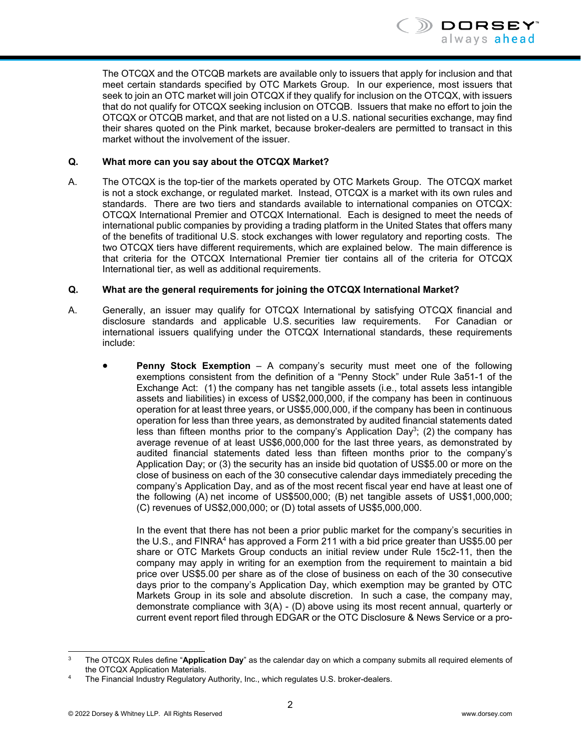

The OTCQX and the OTCQB markets are available only to issuers that apply for inclusion and that meet certain standards specified by OTC Markets Group. In our experience, most issuers that seek to join an OTC market will join OTCQX if they qualify for inclusion on the OTCQX, with issuers that do not qualify for OTCQX seeking inclusion on OTCQB. Issuers that make no effort to join the OTCQX or OTCQB market, and that are not listed on a U.S. national securities exchange, may find their shares quoted on the Pink market, because broker-dealers are permitted to transact in this market without the involvement of the issuer.

#### **Q. What more can you say about the OTCQX Market?**

A. The OTCQX is the top-tier of the markets operated by OTC Markets Group. The OTCQX market is not a stock exchange, or regulated market. Instead, OTCQX is a market with its own rules and standards. There are two tiers and standards available to international companies on OTCQX: OTCQX International Premier and OTCQX International. Each is designed to meet the needs of international public companies by providing a trading platform in the United States that offers many of the benefits of traditional U.S. stock exchanges with lower regulatory and reporting costs. The two OTCQX tiers have different requirements, which are explained below. The main difference is that criteria for the OTCQX International Premier tier contains all of the criteria for OTCQX International tier, as well as additional requirements.

#### **Q. What are the general requirements for joining the OTCQX International Market?**

- A. Generally, an issuer may qualify for OTCQX International by satisfying OTCQX financial and disclosure standards and applicable U.S. securities law requirements. For Canadian or international issuers qualifying under the OTCQX International standards, these requirements include:
	- **Penny Stock Exemption** A company's security must meet one of the following exemptions consistent from the definition of a "Penny Stock" under Rule 3a51-1 of the Exchange Act: (1) the company has net tangible assets (i.e., total assets less intangible assets and liabilities) in excess of US\$2,000,000, if the company has been in continuous operation for at least three years, or US\$5,000,000, if the company has been in continuous operation for less than three years, as demonstrated by audited financial statements dated less than fifteen months prior to the company's Application Day<sup>3</sup>; (2) the company has average revenue of at least US\$6,000,000 for the last three years, as demonstrated by audited financial statements dated less than fifteen months prior to the company's Application Day; or (3) the security has an inside bid quotation of US\$5.00 or more on the close of business on each of the 30 consecutive calendar days immediately preceding the company's Application Day, and as of the most recent fiscal year end have at least one of the following (A) net income of US\$500,000; (B) net tangible assets of US\$1,000,000; (C) revenues of US\$2,000,000; or (D) total assets of US\$5,000,000.

In the event that there has not been a prior public market for the company's securities in the U.S., and FINRA4 has approved a Form 211 with a bid price greater than US\$5.00 per share or OTC Markets Group conducts an initial review under Rule 15c2-11, then the company may apply in writing for an exemption from the requirement to maintain a bid price over US\$5.00 per share as of the close of business on each of the 30 consecutive days prior to the company's Application Day, which exemption may be granted by OTC Markets Group in its sole and absolute discretion. In such a case, the company may, demonstrate compliance with 3(A) - (D) above using its most recent annual, quarterly or current event report filed through EDGAR or the OTC Disclosure & News Service or a pro-

<sup>-</sup>3 The OTCQX Rules define "**Application Day**" as the calendar day on which a company submits all required elements of

<sup>&</sup>lt;sup>4</sup> The Financial Industry Regulatory Authority, Inc., which regulates U.S. broker-dealers.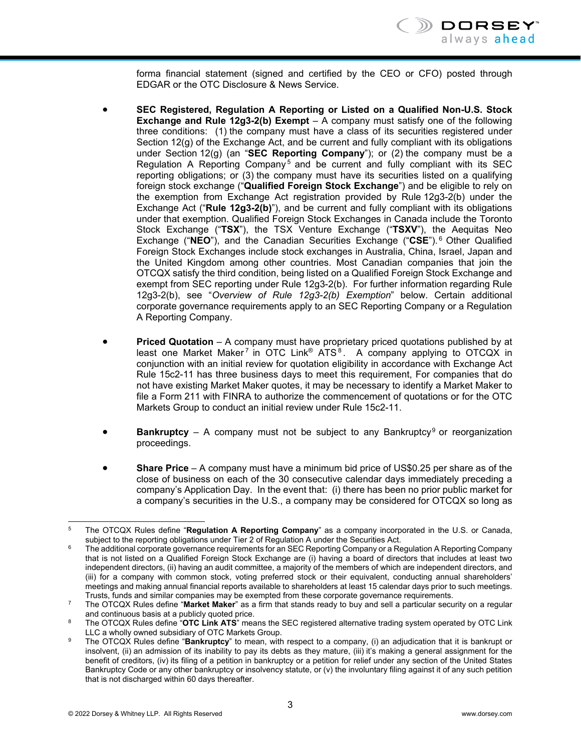

forma financial statement (signed and certified by the CEO or CFO) posted through EDGAR or the OTC Disclosure & News Service.

- **SEC Registered, Regulation A Reporting or Listed on a Qualified Non-U.S. Stock Exchange and Rule 12g3-2(b) Exempt** – A company must satisfy one of the following three conditions: (1) the company must have a class of its securities registered under Section 12(g) of the Exchange Act, and be current and fully compliant with its obligations under Section 12(g) (an "**SEC Reporting Company**"); or (2) the company must be a Regulation A Reporting Company<sup>5</sup> and be current and fully compliant with its SEC reporting obligations; or (3) the company must have its securities listed on a qualifying foreign stock exchange ("**Qualified Foreign Stock Exchange**") and be eligible to rely on the exemption from Exchange Act registration provided by Rule 12g3-2(b) under the Exchange Act ("**Rule 12g3-2(b)**"), and be current and fully compliant with its obligations under that exemption. Qualified Foreign Stock Exchanges in Canada include the Toronto Stock Exchange ("**TSX**"), the TSX Venture Exchange ("**TSXV**"), the Aequitas Neo Exchange ("**NEO**"), and the Canadian Securities Exchange ("**CSE**"). 6 Other Qualified Foreign Stock Exchanges include stock exchanges in Australia, China, Israel, Japan and the United Kingdom among other countries. Most Canadian companies that join the OTCQX satisfy the third condition, being listed on a Qualified Foreign Stock Exchange and exempt from SEC reporting under Rule 12g3-2(b). For further information regarding Rule 12g3-2(b), see "*Overview of Rule 12g3-2(b) Exemption*" below. Certain additional corporate governance requirements apply to an SEC Reporting Company or a Regulation A Reporting Company.
- **Priced Quotation** A company must have proprietary priced quotations published by at least one Market Maker<sup>7</sup> in OTC Link<sup>®</sup> ATS<sup>8</sup>. A company applying to OTCQX in conjunction with an initial review for quotation eligibility in accordance with Exchange Act Rule 15c2-11 has three business days to meet this requirement, For companies that do not have existing Market Maker quotes, it may be necessary to identify a Market Maker to file a Form 211 with FINRA to authorize the commencement of quotations or for the OTC Markets Group to conduct an initial review under Rule 15c2-11.
- **Bankruptcy** A company must not be subject to any Bankruptcy<sup>9</sup> or reorganization proceedings.
- **Share Price** A company must have a minimum bid price of US\$0.25 per share as of the close of business on each of the 30 consecutive calendar days immediately preceding a company's Application Day. In the event that: (i) there has been no prior public market for a company's securities in the U.S., a company may be considered for OTCQX so long as

l The OTCQX Rules define "**Regulation A Reporting Company**" as a company incorporated in the U.S. or Canada, subject to the reporting obligations under Tier 2 of Regulation A under the Securities Act.

The additional corporate governance requirements for an SEC Reporting Company or a Regulation A Reporting Company that is not listed on a Qualified Foreign Stock Exchange are (i) having a board of directors that includes at least two independent directors, (ii) having an audit committee, a majority of the members of which are independent directors, and (iii) for a company with common stock, voting preferred stock or their equivalent, conducting annual shareholders' meetings and making annual financial reports available to shareholders at least 15 calendar days prior to such meetings.<br>Trusts, funds and similar companies may be exempted from these corporate governance requirements.

<sup>&</sup>lt;sup>7</sup> The OTCQX Rules define "**Market Maker**" as a firm that stands ready to buy and sell a particular security on a regular

and continuous basis at a publicly quoted price.<br>The OTCQX Rules define "**OTC Link ATS**" means the SEC registered alternative trading system operated by OTC Link<br>LLC a wholly owned subsidiary of OTC Markets Group.

The OTCQX Rules define "Bankruptcy" to mean, with respect to a company, (i) an adjudication that it is bankrupt or insolvent, (ii) an admission of its inability to pay its debts as they mature, (iii) it's making a general assignment for the benefit of creditors, (iv) its filing of a petition in bankruptcy or a petition for relief under any section of the United States Bankruptcy Code or any other bankruptcy or insolvency statute, or (v) the involuntary filing against it of any such petition that is not discharged within 60 days thereafter.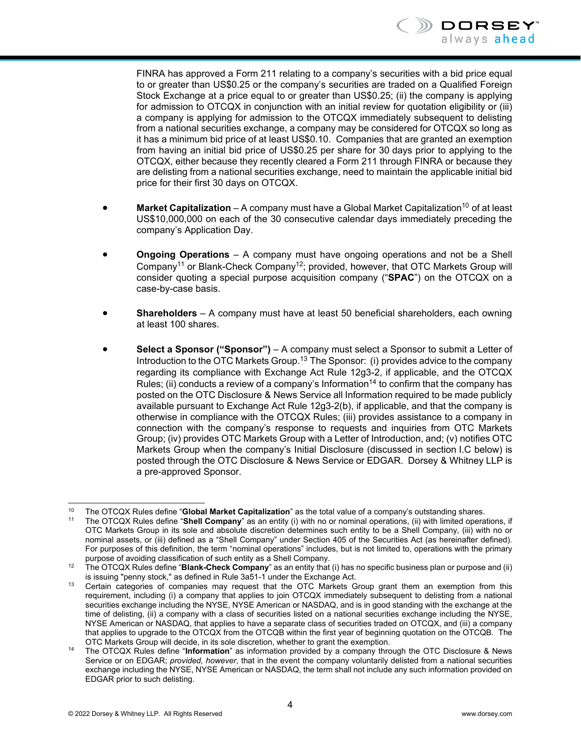

FINRA has approved a Form 211 relating to a company's securities with a bid price equal to or greater than US\$0.25 or the company's securities are traded on a Qualified Foreign Stock Exchange at a price equal to or greater than US\$0.25; (ii) the company is applying for admission to OTCQX in conjunction with an initial review for quotation eligibility or (iii) a company is applying for admission to the OTCQX immediately subsequent to delisting from a national securities exchange, a company may be considered for OTCQX so long as it has a minimum bid price of at least US\$0.10. Companies that are granted an exemption from having an initial bid price of US\$0.25 per share for 30 days prior to applying to the OTCQX, either because they recently cleared a Form 211 through FINRA or because they are delisting from a national securities exchange, need to maintain the applicable initial bid price for their first 30 days on OTCQX.

- **Market Capitalization** A company must have a Global Market Capitalization<sup>10</sup> of at least US\$10,000,000 on each of the 30 consecutive calendar days immediately preceding the company's Application Day.
- **Ongoing Operations** A company must have ongoing operations and not be a Shell Company11 or Blank-Check Company12; provided, however, that OTC Markets Group will consider quoting a special purpose acquisition company ("**SPAC**") on the OTCQX on a case-by-case basis.
- **Shareholders** A company must have at least 50 beneficial shareholders, each owning at least 100 shares.
- **Select a Sponsor ("Sponsor")** A company must select a Sponsor to submit a Letter of Introduction to the OTC Markets Group.<sup>13</sup> The Sponsor: (i) provides advice to the company regarding its compliance with Exchange Act Rule 12g3-2, if applicable, and the OTCQX Rules; (ii) conducts a review of a company's Information<sup>14</sup> to confirm that the company has posted on the OTC Disclosure & News Service all Information required to be made publicly available pursuant to Exchange Act Rule 12g3-2(b), if applicable, and that the company is otherwise in compliance with the OTCQX Rules; (iii) provides assistance to a company in connection with the company's response to requests and inquiries from OTC Markets Group; (iv) provides OTC Markets Group with a Letter of Introduction, and; (v) notifies OTC Markets Group when the company's Initial Disclosure (discussed in section I.C below) is posted through the OTC Disclosure & News Service or EDGAR. Dorsey & Whitney LLP is a pre-approved Sponsor.

l <sup>10</sup> The OTCQX Rules define "**Global Market Capitalization**" as the total value of a company's outstanding shares.<br><sup>11</sup> The OTCQX Rules define "**Shell Company**" as an entity (i) with no or nominal operations, (ii) with li

OTC Markets Group in its sole and absolute discretion determines such entity to be a Shell Company, (iii) with no or nominal assets, or (iii) defined as a "Shell Company" under Section 405 of the Securities Act (as hereinafter defined). For purposes of this definition, the term "nominal operations" includes, but is not limited to, operations with the primary

purpose of avoiding classification of such entity as a Shell Company.<br><sup>12</sup> The OTCQX Rules define "**Blank-Check Company**" as an entity that (i) has no specific business plan or purpose and (ii)<br>is issuing "penny stock," as

Certain categories of companies may request that the OTC Markets Group grant them an exemption from this requirement, including (i) a company that applies to join OTCQX immediately subsequent to delisting from a national securities exchange including the NYSE, NYSE American or NASDAQ, and is in good standing with the exchange at the time of delisting, (ii) a company with a class of securities listed on a national securities exchange including the NYSE, NYSE American or NASDAQ, that applies to have a separate class of securities traded on OTCQX, and (iii) a company that applies to upgrade to the OTCQX from the OTCQB within the first year of beginning quotation on the OTCQB. The<br>OTC Markets Group will decide, in its sole discretion, whether to grant the exemption.

The OTCQX Rules define "**Information**" as information provided by a company through the OTC Disclosure & News Service or on EDGAR; *provided, however*, that in the event the company voluntarily delisted from a national securities exchange including the NYSE, NYSE American or NASDAQ, the term shall not include any such information provided on EDGAR prior to such delisting.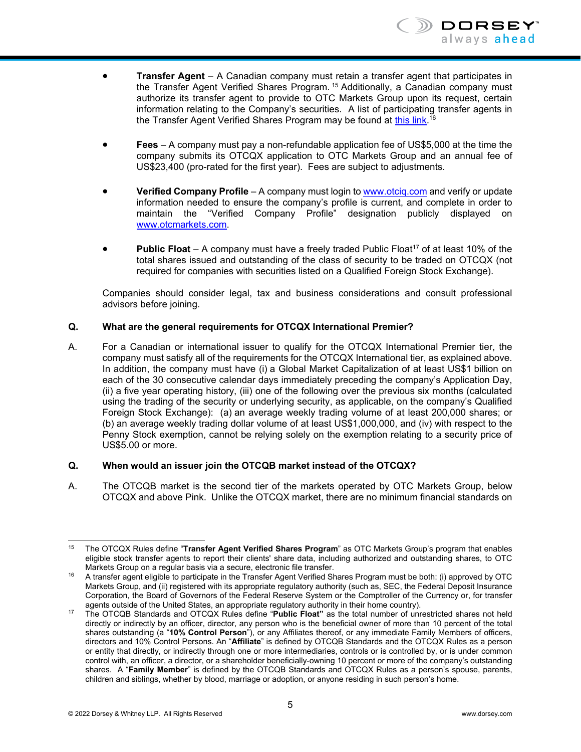

- **Transfer Agent** A Canadian company must retain a transfer agent that participates in the Transfer Agent Verified Shares Program. 15 Additionally, a Canadian company must authorize its transfer agent to provide to OTC Markets Group upon its request, certain information relating to the Company's securities. A list of participating transfer agents in the Transfer Agent Verified Shares Program may be found at <u>this link</u>.<sup>16</sup>
- **Fees** A company must pay a non-refundable application fee of US\$5,000 at the time the company submits its OTCQX application to OTC Markets Group and an annual fee of US\$23,400 (pro-rated for the first year). Fees are subject to adjustments.
- **Verified Company Profile** A company must login to **www.otciq.com** and verify or update information needed to ensure the company's profile is current, and complete in order to maintain the "Verified Company Profile" designation publicly displayed on www.otcmarkets.com.
- **Public Float** A company must have a freely traded Public Float<sup>17</sup> of at least 10% of the total shares issued and outstanding of the class of security to be traded on OTCQX (not required for companies with securities listed on a Qualified Foreign Stock Exchange).

Companies should consider legal, tax and business considerations and consult professional advisors before joining.

#### **Q. What are the general requirements for OTCQX International Premier?**

A. For a Canadian or international issuer to qualify for the OTCQX International Premier tier, the company must satisfy all of the requirements for the OTCQX International tier, as explained above. In addition, the company must have (i) a Global Market Capitalization of at least US\$1 billion on each of the 30 consecutive calendar days immediately preceding the company's Application Day, (ii) a five year operating history, (iii) one of the following over the previous six months (calculated using the trading of the security or underlying security, as applicable, on the company's Qualified Foreign Stock Exchange): (a) an average weekly trading volume of at least 200,000 shares; or (b) an average weekly trading dollar volume of at least US\$1,000,000, and (iv) with respect to the Penny Stock exemption, cannot be relying solely on the exemption relating to a security price of US\$5.00 or more.

#### **Q. When would an issuer join the OTCQB market instead of the OTCQX?**

A. The OTCQB market is the second tier of the markets operated by OTC Markets Group, below OTCQX and above Pink. Unlike the OTCQX market, there are no minimum financial standards on

l 15 The OTCQX Rules define "**Transfer Agent Verified Shares Program**" as OTC Markets Group's program that enables eligible stock transfer agents to report their clients' share data, including authorized and outstanding shares, to OTC<br>Markets Group on a regular basis via a secure, electronic file transfer.

A transfer agent eligible to participate in the Transfer Agent Verified Shares Program must be both: (i) approved by OTC Markets Group, and (ii) registered with its appropriate regulatory authority (such as, SEC, the Federal Deposit Insurance Corporation, the Board of Governors of the Federal Reserve System or the Comptroller of the Currency or, for transfer agents outside of the United States, an appropriate requlatory authority in their home country).

The OTCQB Standards and OTCQX Rules define "**Public Float**" as the total number of unrestricted shares not held directly or indirectly by an officer, director, any person who is the beneficial owner of more than 10 percent of the total shares outstanding (a "**10% Control Person**"), or any Affiliates thereof, or any immediate Family Members of officers, directors and 10% Control Persons. An "**Affiliate**" is defined by OTCQB Standards and the OTCQX Rules as a person or entity that directly, or indirectly through one or more intermediaries, controls or is controlled by, or is under common control with, an officer, a director, or a shareholder beneficially-owning 10 percent or more of the company's outstanding shares. A "**Family Member**" is defined by the OTCQB Standards and OTCQX Rules as a person's spouse, parents, children and siblings, whether by blood, marriage or adoption, or anyone residing in such person's home.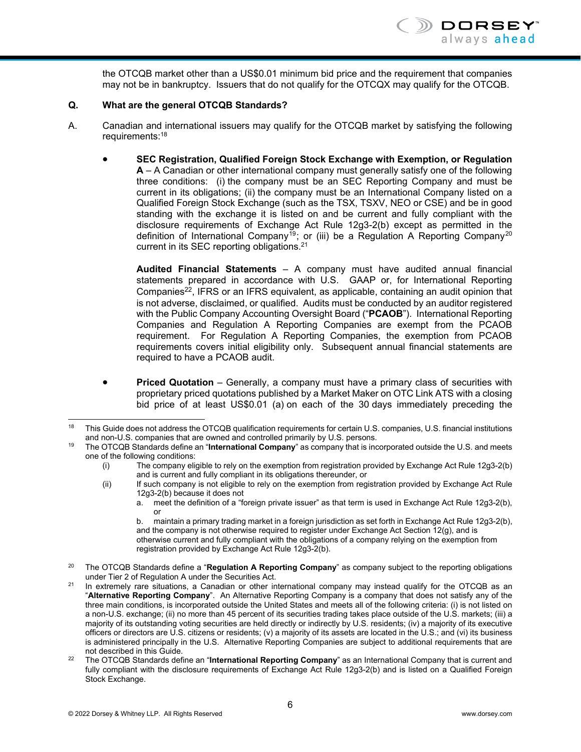the OTCQB market other than a US\$0.01 minimum bid price and the requirement that companies may not be in bankruptcy. Issuers that do not qualify for the OTCQX may qualify for the OTCQB.

#### **Q. What are the general OTCQB Standards?**

- A. Canadian and international issuers may qualify for the OTCQB market by satisfying the following requirements:18
	- **SEC Registration, Qualified Foreign Stock Exchange with Exemption, or Regulation A** – A Canadian or other international company must generally satisfy one of the following three conditions: (i) the company must be an SEC Reporting Company and must be current in its obligations; (ii) the company must be an International Company listed on a Qualified Foreign Stock Exchange (such as the TSX, TSXV, NEO or CSE) and be in good standing with the exchange it is listed on and be current and fully compliant with the disclosure requirements of Exchange Act Rule 12g3-2(b) except as permitted in the definition of International Company19; or (iii) be a Regulation A Reporting Company20 current in its SEC reporting obligations.<sup>21</sup>

**Audited Financial Statements** – A company must have audited annual financial statements prepared in accordance with U.S. GAAP or, for International Reporting Companies<sup>22</sup>, IFRS or an IFRS equivalent, as applicable, containing an audit opinion that is not adverse, disclaimed, or qualified. Audits must be conducted by an auditor registered with the Public Company Accounting Oversight Board ("**PCAOB**"). International Reporting Companies and Regulation A Reporting Companies are exempt from the PCAOB requirement. For Regulation A Reporting Companies, the exemption from PCAOB requirements covers initial eligibility only. Subsequent annual financial statements are required to have a PCAOB audit.

 **Priced Quotation** – Generally, a company must have a primary class of securities with proprietary priced quotations published by a Market Maker on OTC Link ATS with a closing bid price of at least US\$0.01 (a) on each of the 30 days immediately preceding the

(ii) If such company is not eligible to rely on the exemption from registration provided by Exchange Act Rule 12g3-2(b) because it does not

l

<sup>&</sup>lt;sup>18</sup> This Guide does not address the OTCQB qualification requirements for certain U.S. companies, U.S. financial institutions and non-U.S. companies that are owned and controlled primarily by U.S. persons. 19 The OTCQB Standards define an "**International Company**" as company that is incorporated outside the U.S. and meets

one of the following conditions:

<sup>(</sup>i) The company eligible to rely on the exemption from registration provided by Exchange Act Rule 12g3-2(b) and is current and fully compliant in its obligations thereunder, or

a. meet the definition of a "foreign private issuer" as that term is used in Exchange Act Rule 12g3-2(b), or

b. maintain a primary trading market in a foreign jurisdiction as set forth in Exchange Act Rule 12g3-2(b), and the company is not otherwise required to register under Exchange Act Section 12(g), and is

otherwise current and fully compliant with the obligations of a company relying on the exemption from registration provided by Exchange Act Rule 12g3-2(b).

<sup>20</sup> The OTCQB Standards define a "**Regulation A Reporting Company**" as company subject to the reporting obligations under Tier 2 of Regulation A under the Securities Act.<br>21 In extremely rare situations, a Canadian or other international company may instead qualify for the OTCQB as an

<sup>&</sup>quot;**Alternative Reporting Company**". An Alternative Reporting Company is a company that does not satisfy any of the three main conditions, is incorporated outside the United States and meets all of the following criteria: (i) is not listed on a non-U.S. exchange; (ii) no more than 45 percent of its securities trading takes place outside of the U.S. markets; (iii) a majority of its outstanding voting securities are held directly or indirectly by U.S. residents; (iv) a majority of its executive officers or directors are U.S. citizens or residents; (v) a majority of its assets are located in the U.S.; and (vi) its business is administered principally in the U.S. Alternative Reporting Companies are subject to additional requirements that are

not described in this Guide. 22 The OTCQB Standards define an "**International Reporting Company**" as an International Company that is current and fully compliant with the disclosure requirements of Exchange Act Rule 12g3-2(b) and is listed on a Qualified Foreign Stock Exchange.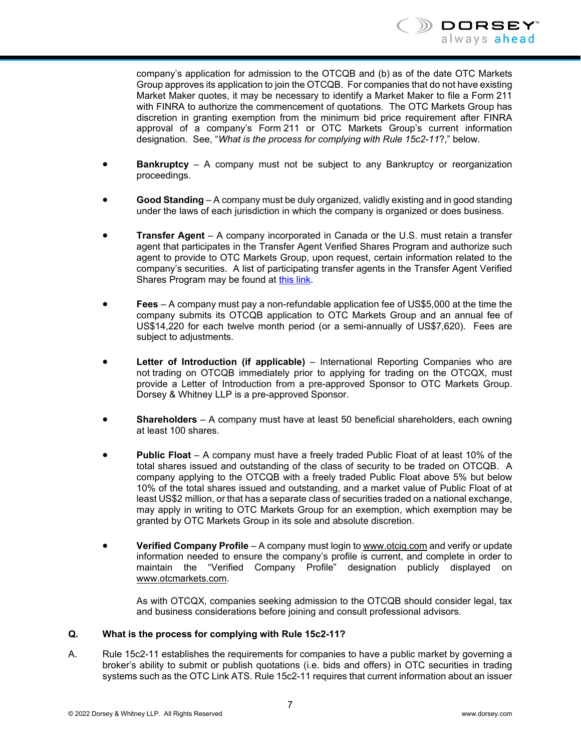

company's application for admission to the OTCQB and (b) as of the date OTC Markets Group approves its application to join the OTCQB. For companies that do not have existing Market Maker quotes, it may be necessary to identify a Market Maker to file a Form 211 with FINRA to authorize the commencement of quotations. The OTC Markets Group has discretion in granting exemption from the minimum bid price requirement after FINRA approval of a company's Form 211 or OTC Markets Group's current information designation. See, "*What is the process for complying with Rule 15c2-11*?," below.

- **Bankruptcy** A company must not be subject to any Bankruptcy or reorganization proceedings.
- **Good Standing** A company must be duly organized, validly existing and in good standing under the laws of each jurisdiction in which the company is organized or does business.
- **Transfer Agent** A company incorporated in Canada or the U.S. must retain a transfer agent that participates in the Transfer Agent Verified Shares Program and authorize such agent to provide to OTC Markets Group, upon request, certain information related to the company's securities. A list of participating transfer agents in the Transfer Agent Verified Shares Program may be found at this link.
- **Fees** A company must pay a non-refundable application fee of US\$5,000 at the time the company submits its OTCQB application to OTC Markets Group and an annual fee of US\$14,220 for each twelve month period (or a semi-annually of US\$7,620). Fees are subject to adjustments.
- **Letter of Introduction (if applicable)** International Reporting Companies who are not trading on OTCQB immediately prior to applying for trading on the OTCQX, must provide a Letter of Introduction from a pre-approved Sponsor to OTC Markets Group. Dorsey & Whitney LLP is a pre-approved Sponsor.
- **Shareholders** A company must have at least 50 beneficial shareholders, each owning at least 100 shares.
- **Public Float** A company must have a freely traded Public Float of at least 10% of the total shares issued and outstanding of the class of security to be traded on OTCQB. A company applying to the OTCQB with a freely traded Public Float above 5% but below 10% of the total shares issued and outstanding, and a market value of Public Float of at least US\$2 million, or that has a separate class of securities traded on a national exchange, may apply in writing to OTC Markets Group for an exemption, which exemption may be granted by OTC Markets Group in its sole and absolute discretion.
- **Verified Company Profile** A company must login to www.otciq.com and verify or update information needed to ensure the company's profile is current, and complete in order to maintain the "Verified Company Profile" designation publicly displayed on www.otcmarkets.com.

As with OTCQX, companies seeking admission to the OTCQB should consider legal, tax and business considerations before joining and consult professional advisors.

#### **Q. What is the process for complying with Rule 15c2-11?**

A. Rule 15c2-11 establishes the requirements for companies to have a public market by governing a broker's ability to submit or publish quotations (i.e. bids and offers) in OTC securities in trading systems such as the OTC Link ATS. Rule 15c2-11 requires that current information about an issuer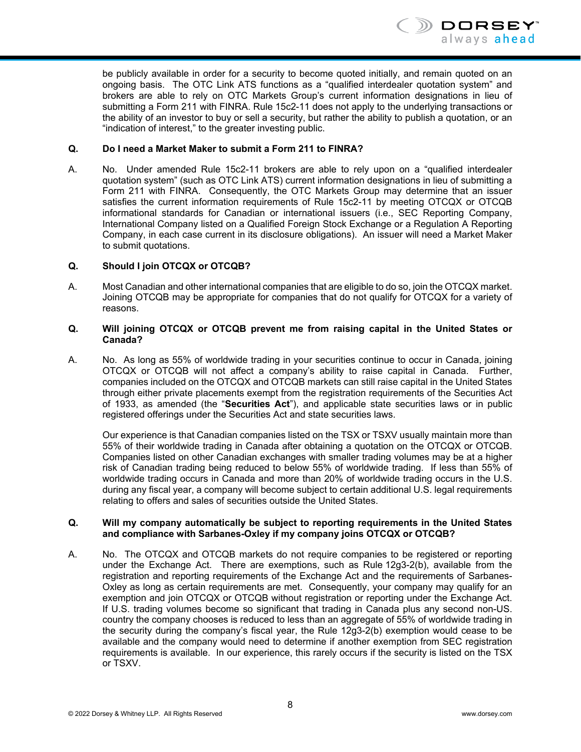

be publicly available in order for a security to become quoted initially, and remain quoted on an ongoing basis. The OTC Link ATS functions as a "qualified interdealer quotation system" and brokers are able to rely on OTC Markets Group's current information designations in lieu of submitting a Form 211 with FINRA. Rule 15c2-11 does not apply to the underlying transactions or the ability of an investor to buy or sell a security, but rather the ability to publish a quotation, or an "indication of interest," to the greater investing public.

#### **Q. Do I need a Market Maker to submit a Form 211 to FINRA?**

A. No. Under amended Rule 15c2-11 brokers are able to rely upon on a "qualified interdealer quotation system" (such as OTC Link ATS) current information designations in lieu of submitting a Form 211 with FINRA. Consequently, the OTC Markets Group may determine that an issuer satisfies the current information requirements of Rule 15c2-11 by meeting OTCQX or OTCQB informational standards for Canadian or international issuers (i.e., SEC Reporting Company, International Company listed on a Qualified Foreign Stock Exchange or a Regulation A Reporting Company, in each case current in its disclosure obligations). An issuer will need a Market Maker to submit quotations.

#### **Q. Should I join OTCQX or OTCQB?**

A. Most Canadian and other international companies that are eligible to do so, join the OTCQX market. Joining OTCQB may be appropriate for companies that do not qualify for OTCQX for a variety of reasons.

#### **Q. Will joining OTCQX or OTCQB prevent me from raising capital in the United States or Canada?**

A. No. As long as 55% of worldwide trading in your securities continue to occur in Canada, joining OTCQX or OTCQB will not affect a company's ability to raise capital in Canada. Further, companies included on the OTCQX and OTCQB markets can still raise capital in the United States through either private placements exempt from the registration requirements of the Securities Act of 1933, as amended (the "**Securities Act**"), and applicable state securities laws or in public registered offerings under the Securities Act and state securities laws.

Our experience is that Canadian companies listed on the TSX or TSXV usually maintain more than 55% of their worldwide trading in Canada after obtaining a quotation on the OTCQX or OTCQB. Companies listed on other Canadian exchanges with smaller trading volumes may be at a higher risk of Canadian trading being reduced to below 55% of worldwide trading. If less than 55% of worldwide trading occurs in Canada and more than 20% of worldwide trading occurs in the U.S. during any fiscal year, a company will become subject to certain additional U.S. legal requirements relating to offers and sales of securities outside the United States.

#### **Q. Will my company automatically be subject to reporting requirements in the United States and compliance with Sarbanes-Oxley if my company joins OTCQX or OTCQB?**

A. No. The OTCQX and OTCQB markets do not require companies to be registered or reporting under the Exchange Act. There are exemptions, such as Rule 12g3-2(b), available from the registration and reporting requirements of the Exchange Act and the requirements of Sarbanes-Oxley as long as certain requirements are met. Consequently, your company may qualify for an exemption and join OTCQX or OTCQB without registration or reporting under the Exchange Act. If U.S. trading volumes become so significant that trading in Canada plus any second non-US. country the company chooses is reduced to less than an aggregate of 55% of worldwide trading in the security during the company's fiscal year, the Rule 12g3-2(b) exemption would cease to be available and the company would need to determine if another exemption from SEC registration requirements is available. In our experience, this rarely occurs if the security is listed on the TSX or TSXV.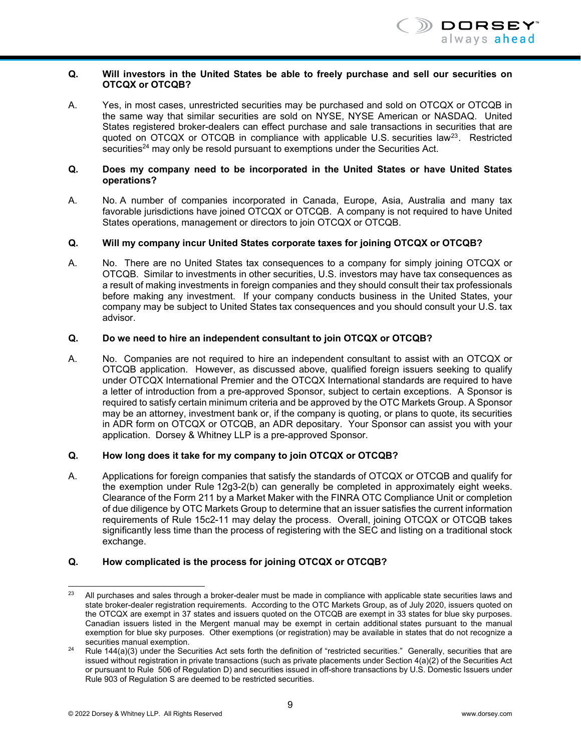

#### **Q. Will investors in the United States be able to freely purchase and sell our securities on OTCQX or OTCQB?**

A. Yes, in most cases, unrestricted securities may be purchased and sold on OTCQX or OTCQB in the same way that similar securities are sold on NYSE, NYSE American or NASDAQ. United States registered broker-dealers can effect purchase and sale transactions in securities that are quoted on  $OTCQX$  or  $OTCQB$  in compliance with applicable U.S. securities law<sup>23</sup>. Restricted securities<sup>24</sup> may only be resold pursuant to exemptions under the Securities Act.

#### **Q. Does my company need to be incorporated in the United States or have United States operations?**

A. No. A number of companies incorporated in Canada, Europe, Asia, Australia and many tax favorable jurisdictions have joined OTCQX or OTCQB. A company is not required to have United States operations, management or directors to join OTCQX or OTCQB.

#### **Q. Will my company incur United States corporate taxes for joining OTCQX or OTCQB?**

A. No. There are no United States tax consequences to a company for simply joining OTCQX or OTCQB. Similar to investments in other securities, U.S. investors may have tax consequences as a result of making investments in foreign companies and they should consult their tax professionals before making any investment. If your company conducts business in the United States, your company may be subject to United States tax consequences and you should consult your U.S. tax advisor.

#### **Q. Do we need to hire an independent consultant to join OTCQX or OTCQB?**

A. No. Companies are not required to hire an independent consultant to assist with an OTCQX or OTCQB application. However, as discussed above, qualified foreign issuers seeking to qualify under OTCQX International Premier and the OTCQX International standards are required to have a letter of introduction from a pre-approved Sponsor, subject to certain exceptions. A Sponsor is required to satisfy certain minimum criteria and be approved by the OTC Markets Group. A Sponsor may be an attorney, investment bank or, if the company is quoting, or plans to quote, its securities in ADR form on OTCQX or OTCQB, an ADR depositary. Your Sponsor can assist you with your application. Dorsey & Whitney LLP is a pre-approved Sponsor.

#### **Q. How long does it take for my company to join OTCQX or OTCQB?**

A. Applications for foreign companies that satisfy the standards of OTCQX or OTCQB and qualify for the exemption under Rule 12g3-2(b) can generally be completed in approximately eight weeks. Clearance of the Form 211 by a Market Maker with the FINRA OTC Compliance Unit or completion of due diligence by OTC Markets Group to determine that an issuer satisfies the current information requirements of Rule 15c2-11 may delay the process. Overall, joining OTCQX or OTCQB takes significantly less time than the process of registering with the SEC and listing on a traditional stock exchange.

#### **Q. How complicated is the process for joining OTCQX or OTCQB?**

<sup>23</sup> All purchases and sales through a broker-dealer must be made in compliance with applicable state securities laws and state broker-dealer registration requirements. According to the OTC Markets Group, as of July 2020, issuers quoted on the OTCQX are exempt in 37 states and issuers quoted on the OTCQB are exempt in 33 states for blue sky purposes. Canadian issuers listed in the Mergent manual may be exempt in certain additional states pursuant to the manual exemption for blue sky purposes. Other exemptions (or registration) may be available in states that do not recognize a

<sup>&</sup>lt;sup>24</sup> Rule 144(a)(3) under the Securities Act sets forth the definition of "restricted securities." Generally, securities that are issued without registration in private transactions (such as private placements under Section 4(a)(2) of the Securities Act or pursuant to Rule 506 of Regulation D) and securities issued in off-shore transactions by U.S. Domestic Issuers under Rule 903 of Regulation S are deemed to be restricted securities.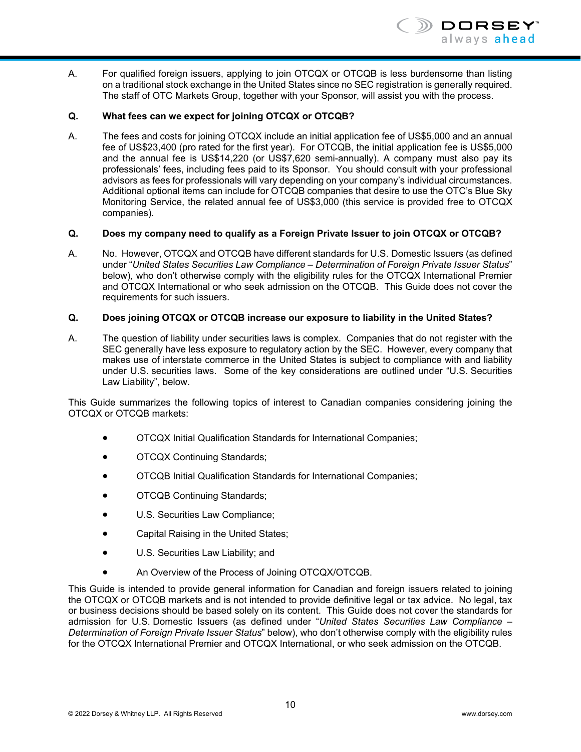

A. For qualified foreign issuers, applying to join OTCQX or OTCQB is less burdensome than listing on a traditional stock exchange in the United States since no SEC registration is generally required. The staff of OTC Markets Group, together with your Sponsor, will assist you with the process.

#### **Q. What fees can we expect for joining OTCQX or OTCQB?**

A. The fees and costs for joining OTCQX include an initial application fee of US\$5,000 and an annual fee of US\$23,400 (pro rated for the first year). For OTCQB, the initial application fee is US\$5,000 and the annual fee is US\$14,220 (or US\$7,620 semi-annually). A company must also pay its professionals' fees, including fees paid to its Sponsor. You should consult with your professional advisors as fees for professionals will vary depending on your company's individual circumstances. Additional optional items can include for OTCQB companies that desire to use the OTC's Blue Sky Monitoring Service, the related annual fee of US\$3,000 (this service is provided free to OTCQX companies).

#### **Q. Does my company need to qualify as a Foreign Private Issuer to join OTCQX or OTCQB?**

A. No. However, OTCQX and OTCQB have different standards for U.S. Domestic Issuers (as defined under "*United States Securities Law Compliance – Determination of Foreign Private Issuer Status*" below), who don't otherwise comply with the eligibility rules for the OTCQX International Premier and OTCQX International or who seek admission on the OTCQB. This Guide does not cover the requirements for such issuers.

#### **Q. Does joining OTCQX or OTCQB increase our exposure to liability in the United States?**

A. The question of liability under securities laws is complex. Companies that do not register with the SEC generally have less exposure to regulatory action by the SEC. However, every company that makes use of interstate commerce in the United States is subject to compliance with and liability under U.S. securities laws. Some of the key considerations are outlined under "U.S. Securities Law Liability", below.

This Guide summarizes the following topics of interest to Canadian companies considering joining the OTCQX or OTCQB markets:

- OTCQX Initial Qualification Standards for International Companies;
- **•** OTCQX Continuing Standards;
- OTCQB Initial Qualification Standards for International Companies;
- **OTCQB Continuing Standards;**
- U.S. Securities Law Compliance;
- Capital Raising in the United States;
- U.S. Securities Law Liability; and
- An Overview of the Process of Joining OTCQX/OTCQB.

This Guide is intended to provide general information for Canadian and foreign issuers related to joining the OTCQX or OTCQB markets and is not intended to provide definitive legal or tax advice. No legal, tax or business decisions should be based solely on its content. This Guide does not cover the standards for admission for U.S. Domestic Issuers (as defined under "*United States Securities Law Compliance – Determination of Foreign Private Issuer Status*" below), who don't otherwise comply with the eligibility rules for the OTCQX International Premier and OTCQX International, or who seek admission on the OTCQB.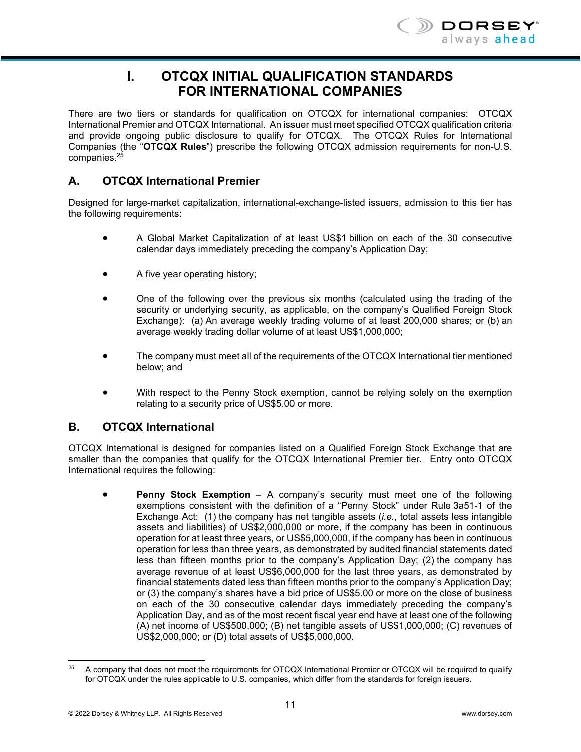

# **I. OTCQX INITIAL QUALIFICATION STANDARDS FOR INTERNATIONAL COMPANIES**

There are two tiers or standards for qualification on OTCQX for international companies: OTCQX International Premier and OTCQX International. An issuer must meet specified OTCQX qualification criteria and provide ongoing public disclosure to qualify for OTCQX. The OTCQX Rules for International Companies (the "**OTCQX Rules**") prescribe the following OTCQX admission requirements for non-U.S. companies.25

# **A. OTCQX International Premier**

Designed for large-market capitalization, international-exchange-listed issuers, admission to this tier has the following requirements:

- A Global Market Capitalization of at least US\$1 billion on each of the 30 consecutive calendar days immediately preceding the company's Application Day;
- A five year operating history;
- One of the following over the previous six months (calculated using the trading of the security or underlying security, as applicable, on the company's Qualified Foreign Stock Exchange): (a) An average weekly trading volume of at least 200,000 shares; or (b) an average weekly trading dollar volume of at least US\$1,000,000;
- The company must meet all of the requirements of the OTCQX International tier mentioned below; and
- With respect to the Penny Stock exemption, cannot be relying solely on the exemption relating to a security price of US\$5.00 or more.

# **B. OTCQX International**

OTCQX International is designed for companies listed on a Qualified Foreign Stock Exchange that are smaller than the companies that qualify for the OTCQX International Premier tier. Entry onto OTCQX International requires the following:

 **Penny Stock Exemption** – A company's security must meet one of the following exemptions consistent with the definition of a "Penny Stock" under Rule 3a51-1 of the Exchange Act: (1) the company has net tangible assets (*i.e.*, total assets less intangible assets and liabilities) of US\$2,000,000 or more, if the company has been in continuous operation for at least three years, or US\$5,000,000, if the company has been in continuous operation for less than three years, as demonstrated by audited financial statements dated less than fifteen months prior to the company's Application Day; (2) the company has average revenue of at least US\$6,000,000 for the last three years, as demonstrated by financial statements dated less than fifteen months prior to the company's Application Day; or (3) the company's shares have a bid price of US\$5.00 or more on the close of business on each of the 30 consecutive calendar days immediately preceding the company's Application Day, and as of the most recent fiscal year end have at least one of the following (A) net income of US\$500,000; (B) net tangible assets of US\$1,000,000; (C) revenues of US\$2,000,000; or (D) total assets of US\$5,000,000.

 $25$ 25 A company that does not meet the requirements for OTCQX International Premier or OTCQX will be required to qualify for OTCQX under the rules applicable to U.S. companies, which differ from the standards for foreign issuers.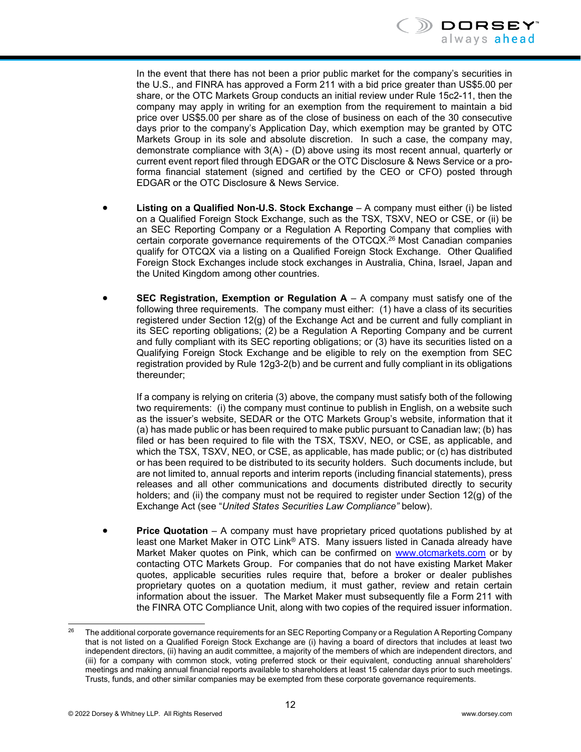

In the event that there has not been a prior public market for the company's securities in the U.S., and FINRA has approved a Form 211 with a bid price greater than US\$5.00 per share, or the OTC Markets Group conducts an initial review under Rule 15c2-11, then the company may apply in writing for an exemption from the requirement to maintain a bid price over US\$5.00 per share as of the close of business on each of the 30 consecutive days prior to the company's Application Day, which exemption may be granted by OTC Markets Group in its sole and absolute discretion. In such a case, the company may, demonstrate compliance with 3(A) - (D) above using its most recent annual, quarterly or current event report filed through EDGAR or the OTC Disclosure & News Service or a proforma financial statement (signed and certified by the CEO or CFO) posted through EDGAR or the OTC Disclosure & News Service.

- **Listing on a Qualified Non-U.S. Stock Exchange** A company must either (i) be listed on a Qualified Foreign Stock Exchange, such as the TSX, TSXV, NEO or CSE, or (ii) be an SEC Reporting Company or a Regulation A Reporting Company that complies with certain corporate governance requirements of the OTCQX.26 Most Canadian companies qualify for OTCQX via a listing on a Qualified Foreign Stock Exchange. Other Qualified Foreign Stock Exchanges include stock exchanges in Australia, China, Israel, Japan and the United Kingdom among other countries.
- **SEC Registration, Exemption or Regulation A** A company must satisfy one of the following three requirements. The company must either: (1) have a class of its securities registered under Section 12(g) of the Exchange Act and be current and fully compliant in its SEC reporting obligations; (2) be a Regulation A Reporting Company and be current and fully compliant with its SEC reporting obligations; or (3) have its securities listed on a Qualifying Foreign Stock Exchange and be eligible to rely on the exemption from SEC registration provided by Rule 12g3-2(b) and be current and fully compliant in its obligations thereunder;

If a company is relying on criteria (3) above, the company must satisfy both of the following two requirements: (i) the company must continue to publish in English, on a website such as the issuer's website, SEDAR or the OTC Markets Group's website, information that it (a) has made public or has been required to make public pursuant to Canadian law; (b) has filed or has been required to file with the TSX, TSXV, NEO, or CSE, as applicable, and which the TSX, TSXV, NEO, or CSE, as applicable, has made public; or (c) has distributed or has been required to be distributed to its security holders. Such documents include, but are not limited to, annual reports and interim reports (including financial statements), press releases and all other communications and documents distributed directly to security holders; and (ii) the company must not be required to register under Section 12(g) of the Exchange Act (see "*United States Securities Law Compliance"* below).

 **Price Quotation** – A company must have proprietary priced quotations published by at least one Market Maker in OTC Link® ATS. Many issuers listed in Canada already have Market Maker quotes on Pink, which can be confirmed on www.otcmarkets.com or by contacting OTC Markets Group. For companies that do not have existing Market Maker quotes, applicable securities rules require that, before a broker or dealer publishes proprietary quotes on a quotation medium, it must gather, review and retain certain information about the issuer. The Market Maker must subsequently file a Form 211 with the FINRA OTC Compliance Unit, along with two copies of the required issuer information.

 $26$ 26 The additional corporate governance requirements for an SEC Reporting Company or a Regulation A Reporting Company that is not listed on a Qualified Foreign Stock Exchange are (i) having a board of directors that includes at least two independent directors, (ii) having an audit committee, a majority of the members of which are independent directors, and (iii) for a company with common stock, voting preferred stock or their equivalent, conducting annual shareholders' meetings and making annual financial reports available to shareholders at least 15 calendar days prior to such meetings. Trusts, funds, and other similar companies may be exempted from these corporate governance requirements.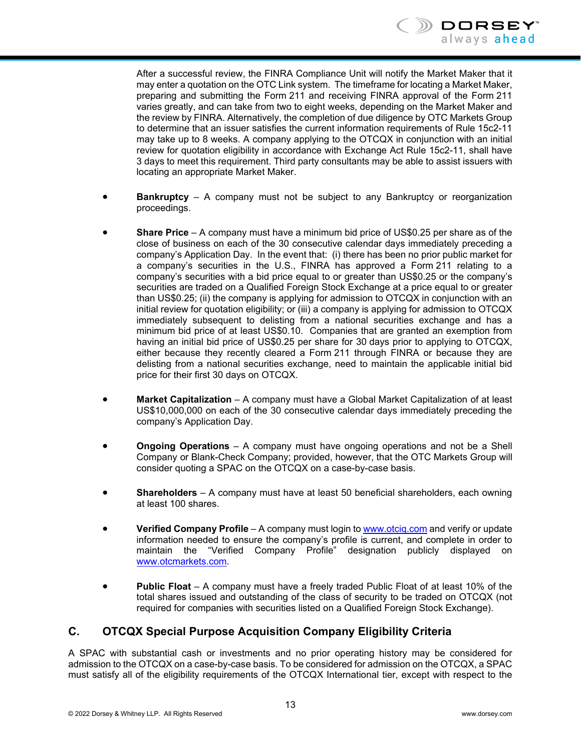

After a successful review, the FINRA Compliance Unit will notify the Market Maker that it may enter a quotation on the OTC Link system. The timeframe for locating a Market Maker, preparing and submitting the Form 211 and receiving FINRA approval of the Form 211 varies greatly, and can take from two to eight weeks, depending on the Market Maker and the review by FINRA. Alternatively, the completion of due diligence by OTC Markets Group to determine that an issuer satisfies the current information requirements of Rule 15c2-11 may take up to 8 weeks. A company applying to the OTCQX in conjunction with an initial review for quotation eligibility in accordance with Exchange Act Rule 15c2-11, shall have 3 days to meet this requirement. Third party consultants may be able to assist issuers with locating an appropriate Market Maker.

- **Bankruptcy** A company must not be subject to any Bankruptcy or reorganization proceedings.
- **Share Price** A company must have a minimum bid price of US\$0.25 per share as of the close of business on each of the 30 consecutive calendar days immediately preceding a company's Application Day. In the event that: (i) there has been no prior public market for a company's securities in the U.S., FINRA has approved a Form 211 relating to a company's securities with a bid price equal to or greater than US\$0.25 or the company's securities are traded on a Qualified Foreign Stock Exchange at a price equal to or greater than US\$0.25; (ii) the company is applying for admission to OTCQX in conjunction with an initial review for quotation eligibility; or (iii) a company is applying for admission to OTCQX immediately subsequent to delisting from a national securities exchange and has a minimum bid price of at least US\$0.10. Companies that are granted an exemption from having an initial bid price of US\$0.25 per share for 30 days prior to applying to OTCQX, either because they recently cleared a Form 211 through FINRA or because they are delisting from a national securities exchange, need to maintain the applicable initial bid price for their first 30 days on OTCQX.
- **Market Capitalization** A company must have a Global Market Capitalization of at least US\$10,000,000 on each of the 30 consecutive calendar days immediately preceding the company's Application Day.
- **Ongoing Operations** A company must have ongoing operations and not be a Shell Company or Blank-Check Company; provided, however, that the OTC Markets Group will consider quoting a SPAC on the OTCQX on a case-by-case basis.
- **Shareholders** A company must have at least 50 beneficial shareholders, each owning at least 100 shares.
- **Verified Company Profile** A company must login to www.otciq.com and verify or update information needed to ensure the company's profile is current, and complete in order to maintain the "Verified Company Profile" designation publicly displayed on www.otcmarkets.com.
- **Public Float** A company must have a freely traded Public Float of at least 10% of the total shares issued and outstanding of the class of security to be traded on OTCQX (not required for companies with securities listed on a Qualified Foreign Stock Exchange).

# **C. OTCQX Special Purpose Acquisition Company Eligibility Criteria**

A SPAC with substantial cash or investments and no prior operating history may be considered for admission to the OTCQX on a case-by-case basis. To be considered for admission on the OTCQX, a SPAC must satisfy all of the eligibility requirements of the OTCQX International tier, except with respect to the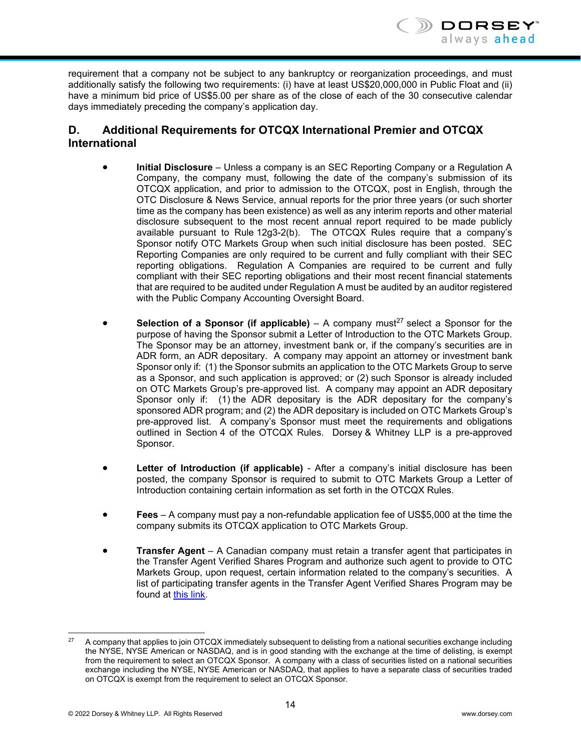

requirement that a company not be subject to any bankruptcy or reorganization proceedings, and must additionally satisfy the following two requirements: (i) have at least US\$20,000,000 in Public Float and (ii) have a minimum bid price of US\$5.00 per share as of the close of each of the 30 consecutive calendar days immediately preceding the company's application day.

# **D. Additional Requirements for OTCQX International Premier and OTCQX International**

- **Initial Disclosure** Unless a company is an SEC Reporting Company or a Regulation A Company, the company must, following the date of the company's submission of its OTCQX application, and prior to admission to the OTCQX, post in English, through the OTC Disclosure & News Service, annual reports for the prior three years (or such shorter time as the company has been existence) as well as any interim reports and other material disclosure subsequent to the most recent annual report required to be made publicly available pursuant to Rule 12g3-2(b). The OTCQX Rules require that a company's Sponsor notify OTC Markets Group when such initial disclosure has been posted. SEC Reporting Companies are only required to be current and fully compliant with their SEC reporting obligations. Regulation A Companies are required to be current and fully compliant with their SEC reporting obligations and their most recent financial statements that are required to be audited under Regulation A must be audited by an auditor registered with the Public Company Accounting Oversight Board.
- **Selection of a Sponsor (if applicable)**  $A$  company must<sup>27</sup> select a Sponsor for the purpose of having the Sponsor submit a Letter of Introduction to the OTC Markets Group. The Sponsor may be an attorney, investment bank or, if the company's securities are in ADR form, an ADR depositary. A company may appoint an attorney or investment bank Sponsor only if: (1) the Sponsor submits an application to the OTC Markets Group to serve as a Sponsor, and such application is approved; or (2) such Sponsor is already included on OTC Markets Group's pre-approved list. A company may appoint an ADR depositary Sponsor only if: (1) the ADR depositary is the ADR depositary for the company's sponsored ADR program; and (2) the ADR depositary is included on OTC Markets Group's pre-approved list. A company's Sponsor must meet the requirements and obligations outlined in Section 4 of the OTCQX Rules. Dorsey & Whitney LLP is a pre-approved Sponsor.
- **Letter of Introduction (if applicable)** After a company's initial disclosure has been posted, the company Sponsor is required to submit to OTC Markets Group a Letter of Introduction containing certain information as set forth in the OTCQX Rules.
- **Fees** A company must pay a non-refundable application fee of US\$5,000 at the time the company submits its OTCQX application to OTC Markets Group.
- **Transfer Agent**  A Canadian company must retain a transfer agent that participates in the Transfer Agent Verified Shares Program and authorize such agent to provide to OTC Markets Group, upon request, certain information related to the company's securities. A list of participating transfer agents in the Transfer Agent Verified Shares Program may be found at this link.

l 27 A company that applies to join OTCQX immediately subsequent to delisting from a national securities exchange including the NYSE, NYSE American or NASDAQ, and is in good standing with the exchange at the time of delisting, is exempt from the requirement to select an OTCQX Sponsor. A company with a class of securities listed on a national securities exchange including the NYSE, NYSE American or NASDAQ, that applies to have a separate class of securities traded on OTCQX is exempt from the requirement to select an OTCQX Sponsor.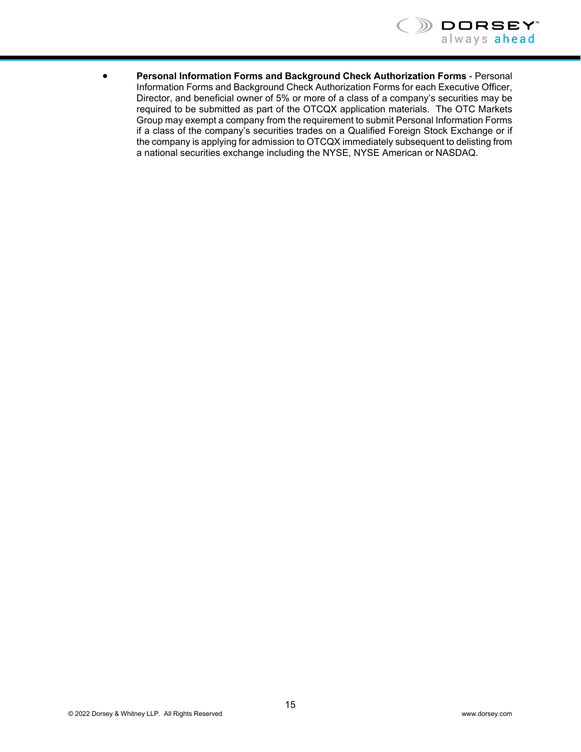

 **Personal Information Forms and Background Check Authorization Forms** - Personal Information Forms and Background Check Authorization Forms for each Executive Officer, Director, and beneficial owner of 5% or more of a class of a company's securities may be required to be submitted as part of the OTCQX application materials. The OTC Markets Group may exempt a company from the requirement to submit Personal Information Forms if a class of the company's securities trades on a Qualified Foreign Stock Exchange or if the company is applying for admission to OTCQX immediately subsequent to delisting from a national securities exchange including the NYSE, NYSE American or NASDAQ.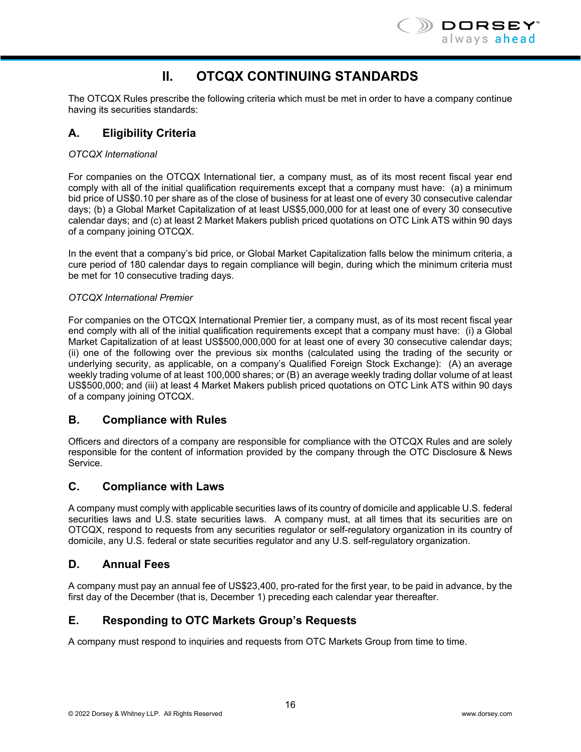

# **II. OTCQX CONTINUING STANDARDS**

The OTCQX Rules prescribe the following criteria which must be met in order to have a company continue having its securities standards:

# **A. Eligibility Criteria**

#### *OTCQX International*

For companies on the OTCQX International tier, a company must, as of its most recent fiscal year end comply with all of the initial qualification requirements except that a company must have: (a) a minimum bid price of US\$0.10 per share as of the close of business for at least one of every 30 consecutive calendar days; (b) a Global Market Capitalization of at least US\$5,000,000 for at least one of every 30 consecutive calendar days; and (c) at least 2 Market Makers publish priced quotations on OTC Link ATS within 90 days of a company joining OTCQX.

In the event that a company's bid price, or Global Market Capitalization falls below the minimum criteria, a cure period of 180 calendar days to regain compliance will begin, during which the minimum criteria must be met for 10 consecutive trading days.

#### *OTCQX International Premier*

For companies on the OTCQX International Premier tier, a company must, as of its most recent fiscal year end comply with all of the initial qualification requirements except that a company must have: (i) a Global Market Capitalization of at least US\$500,000,000 for at least one of every 30 consecutive calendar days; (ii) one of the following over the previous six months (calculated using the trading of the security or underlying security, as applicable, on a company's Qualified Foreign Stock Exchange): (A) an average weekly trading volume of at least 100,000 shares; or (B) an average weekly trading dollar volume of at least US\$500,000; and (iii) at least 4 Market Makers publish priced quotations on OTC Link ATS within 90 days of a company joining OTCQX.

# **B. Compliance with Rules**

Officers and directors of a company are responsible for compliance with the OTCQX Rules and are solely responsible for the content of information provided by the company through the OTC Disclosure & News Service.

#### **C. Compliance with Laws**

A company must comply with applicable securities laws of its country of domicile and applicable U.S. federal securities laws and U.S. state securities laws. A company must, at all times that its securities are on OTCQX, respond to requests from any securities regulator or self-regulatory organization in its country of domicile, any U.S. federal or state securities regulator and any U.S. self-regulatory organization.

# **D. Annual Fees**

A company must pay an annual fee of US\$23,400, pro-rated for the first year, to be paid in advance, by the first day of the December (that is, December 1) preceding each calendar year thereafter.

# **E. Responding to OTC Markets Group's Requests**

A company must respond to inquiries and requests from OTC Markets Group from time to time.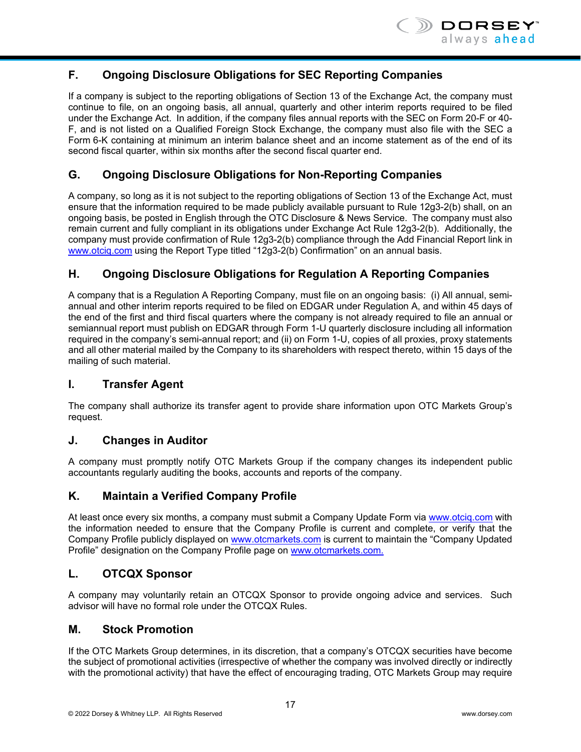

# **F. Ongoing Disclosure Obligations for SEC Reporting Companies**

If a company is subject to the reporting obligations of Section 13 of the Exchange Act, the company must continue to file, on an ongoing basis, all annual, quarterly and other interim reports required to be filed under the Exchange Act. In addition, if the company files annual reports with the SEC on Form 20-F or 40- F, and is not listed on a Qualified Foreign Stock Exchange, the company must also file with the SEC a Form 6-K containing at minimum an interim balance sheet and an income statement as of the end of its second fiscal quarter, within six months after the second fiscal quarter end.

# **G. Ongoing Disclosure Obligations for Non-Reporting Companies**

A company, so long as it is not subject to the reporting obligations of Section 13 of the Exchange Act, must ensure that the information required to be made publicly available pursuant to Rule 12g3-2(b) shall, on an ongoing basis, be posted in English through the OTC Disclosure & News Service. The company must also remain current and fully compliant in its obligations under Exchange Act Rule 12g3-2(b). Additionally, the company must provide confirmation of Rule 12g3-2(b) compliance through the Add Financial Report link in www.otciq.com using the Report Type titled "12g3-2(b) Confirmation" on an annual basis.

# **H. Ongoing Disclosure Obligations for Regulation A Reporting Companies**

A company that is a Regulation A Reporting Company, must file on an ongoing basis: (i) All annual, semiannual and other interim reports required to be filed on EDGAR under Regulation A, and within 45 days of the end of the first and third fiscal quarters where the company is not already required to file an annual or semiannual report must publish on EDGAR through Form 1-U quarterly disclosure including all information required in the company's semi-annual report; and (ii) on Form 1-U, copies of all proxies, proxy statements and all other material mailed by the Company to its shareholders with respect thereto, within 15 days of the mailing of such material.

# **I. Transfer Agent**

The company shall authorize its transfer agent to provide share information upon OTC Markets Group's request.

#### **J. Changes in Auditor**

A company must promptly notify OTC Markets Group if the company changes its independent public accountants regularly auditing the books, accounts and reports of the company.

#### **K. Maintain a Verified Company Profile**

At least once every six months, a company must submit a Company Update Form via www.otciq.com with the information needed to ensure that the Company Profile is current and complete, or verify that the Company Profile publicly displayed on www.otcmarkets.com is current to maintain the "Company Updated Profile" designation on the Company Profile page on www.otcmarkets.com.

# **L. OTCQX Sponsor**

A company may voluntarily retain an OTCQX Sponsor to provide ongoing advice and services. Such advisor will have no formal role under the OTCQX Rules.

#### **M. Stock Promotion**

If the OTC Markets Group determines, in its discretion, that a company's OTCQX securities have become the subject of promotional activities (irrespective of whether the company was involved directly or indirectly with the promotional activity) that have the effect of encouraging trading, OTC Markets Group may require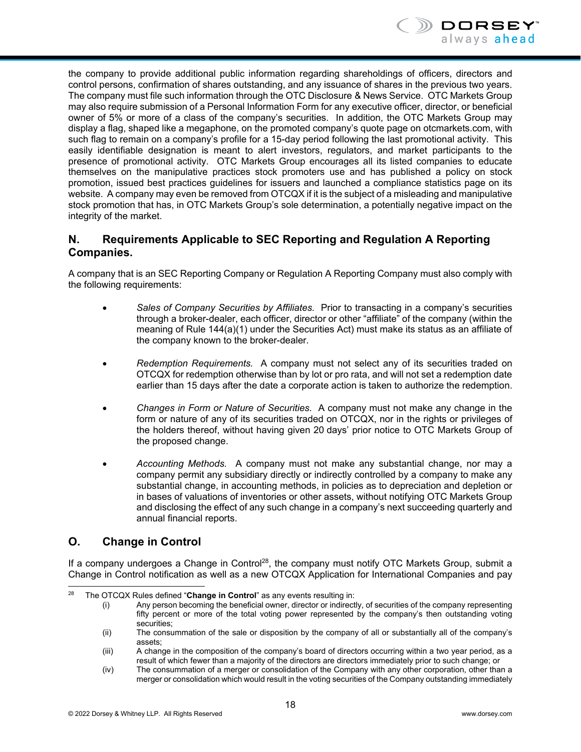

the company to provide additional public information regarding shareholdings of officers, directors and control persons, confirmation of shares outstanding, and any issuance of shares in the previous two years. The company must file such information through the OTC Disclosure & News Service. OTC Markets Group may also require submission of a Personal Information Form for any executive officer, director, or beneficial owner of 5% or more of a class of the company's securities. In addition, the OTC Markets Group may display a flag, shaped like a megaphone, on the promoted company's quote page on otcmarkets.com, with such flag to remain on a company's profile for a 15-day period following the last promotional activity. This easily identifiable designation is meant to alert investors, regulators, and market participants to the presence of promotional activity. OTC Markets Group encourages all its listed companies to educate themselves on the manipulative practices stock promoters use and has published a policy on stock promotion, issued best practices guidelines for issuers and launched a compliance statistics page on its website. A company may even be removed from OTCQX if it is the subject of a misleading and manipulative stock promotion that has, in OTC Markets Group's sole determination, a potentially negative impact on the integrity of the market.

# **N. Requirements Applicable to SEC Reporting and Regulation A Reporting Companies.**

A company that is an SEC Reporting Company or Regulation A Reporting Company must also comply with the following requirements:

- *Sales of Company Securities by Affiliates.* Prior to transacting in a company's securities through a broker-dealer, each officer, director or other "affiliate" of the company (within the meaning of Rule 144(a)(1) under the Securities Act) must make its status as an affiliate of the company known to the broker-dealer.
- *Redemption Requirements.* A company must not select any of its securities traded on OTCQX for redemption otherwise than by lot or pro rata, and will not set a redemption date earlier than 15 days after the date a corporate action is taken to authorize the redemption.
- *Changes in Form or Nature of Securities.* A company must not make any change in the form or nature of any of its securities traded on OTCQX, nor in the rights or privileges of the holders thereof, without having given 20 days' prior notice to OTC Markets Group of the proposed change.
- *Accounting Methods.* A company must not make any substantial change, nor may a company permit any subsidiary directly or indirectly controlled by a company to make any substantial change, in accounting methods, in policies as to depreciation and depletion or in bases of valuations of inventories or other assets, without notifying OTC Markets Group and disclosing the effect of any such change in a company's next succeeding quarterly and annual financial reports.

# **O. Change in Control**

If a company undergoes a Change in Control<sup>28</sup>, the company must notify OTC Markets Group, submit a Change in Control notification as well as a new OTCQX Application for International Companies and pay

<sup>28</sup> The OTCQX Rules defined "Change in Control" as any events resulting in:

<sup>(</sup>i) Any person becoming the beneficial owner, director or indirectly, of securities of the company representing fifty percent or more of the total voting power represented by the company's then outstanding voting securities;

<sup>(</sup>ii) The consummation of the sale or disposition by the company of all or substantially all of the company's assets;

<sup>(</sup>iii) A change in the composition of the company's board of directors occurring within a two year period, as a result of which fewer than a majority of the directors are directors immediately prior to such change; or

<sup>(</sup>iv) The consummation of a merger or consolidation of the Company with any other corporation, other than a merger or consolidation which would result in the voting securities of the Company outstanding immediately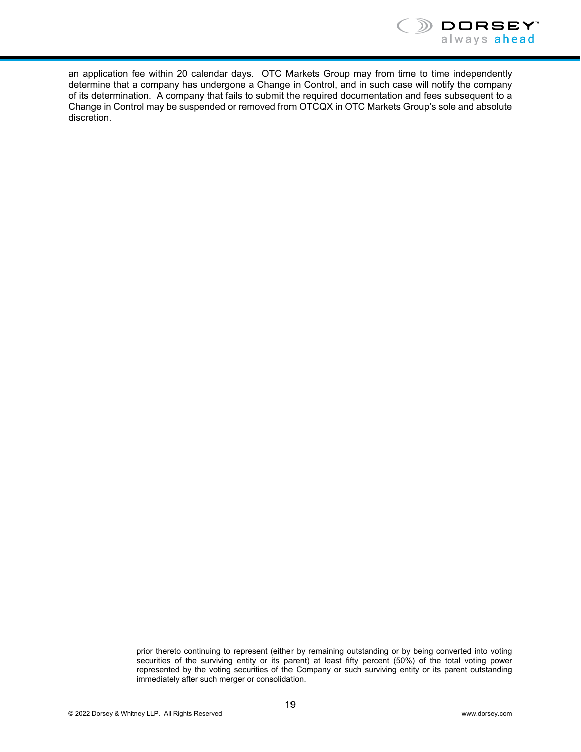

an application fee within 20 calendar days. OTC Markets Group may from time to time independently determine that a company has undergone a Change in Control, and in such case will notify the company of its determination. A company that fails to submit the required documentation and fees subsequent to a Change in Control may be suspended or removed from OTCQX in OTC Markets Group's sole and absolute discretion.

l

prior thereto continuing to represent (either by remaining outstanding or by being converted into voting securities of the surviving entity or its parent) at least fifty percent (50%) of the total voting power represented by the voting securities of the Company or such surviving entity or its parent outstanding immediately after such merger or consolidation.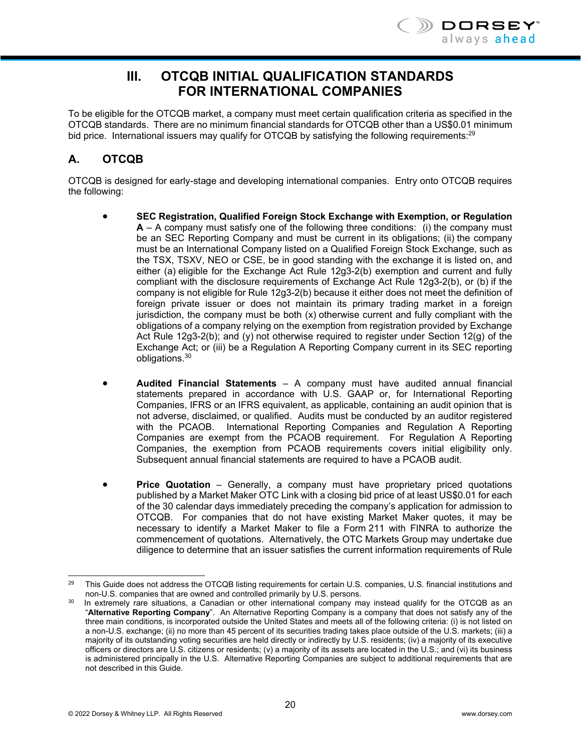# **III. OTCQB INITIAL QUALIFICATION STANDARDS FOR INTERNATIONAL COMPANIES**

To be eligible for the OTCQB market, a company must meet certain qualification criteria as specified in the OTCQB standards. There are no minimum financial standards for OTCQB other than a US\$0.01 minimum bid price. International issuers may qualify for OTCQB by satisfying the following requirements:<sup>29</sup>

# **A. OTCQB**

OTCQB is designed for early-stage and developing international companies. Entry onto OTCQB requires the following:

- **SEC Registration, Qualified Foreign Stock Exchange with Exemption, or Regulation A** – A company must satisfy one of the following three conditions: (i) the company must be an SEC Reporting Company and must be current in its obligations; (ii) the company must be an International Company listed on a Qualified Foreign Stock Exchange, such as the TSX, TSXV, NEO or CSE, be in good standing with the exchange it is listed on, and either (a) eligible for the Exchange Act Rule 12g3-2(b) exemption and current and fully compliant with the disclosure requirements of Exchange Act Rule 12g3-2(b), or (b) if the company is not eligible for Rule 12g3-2(b) because it either does not meet the definition of foreign private issuer or does not maintain its primary trading market in a foreign jurisdiction, the company must be both (x) otherwise current and fully compliant with the obligations of a company relying on the exemption from registration provided by Exchange Act Rule 12g3-2(b); and (y) not otherwise required to register under Section 12(g) of the Exchange Act; or (iii) be a Regulation A Reporting Company current in its SEC reporting obligations.30
- **Audited Financial Statements** A company must have audited annual financial statements prepared in accordance with U.S. GAAP or, for International Reporting Companies, IFRS or an IFRS equivalent, as applicable, containing an audit opinion that is not adverse, disclaimed, or qualified. Audits must be conducted by an auditor registered with the PCAOB. International Reporting Companies and Regulation A Reporting Companies are exempt from the PCAOB requirement. For Regulation A Reporting Companies, the exemption from PCAOB requirements covers initial eligibility only. Subsequent annual financial statements are required to have a PCAOB audit.
- **Price Quotation** Generally, a company must have proprietary priced quotations published by a Market Maker OTC Link with a closing bid price of at least US\$0.01 for each of the 30 calendar days immediately preceding the company's application for admission to OTCQB. For companies that do not have existing Market Maker quotes, it may be necessary to identify a Market Maker to file a Form 211 with FINRA to authorize the commencement of quotations. Alternatively, the OTC Markets Group may undertake due diligence to determine that an issuer satisfies the current information requirements of Rule

l <sup>29</sup> This Guide does not address the OTCQB listing requirements for certain U.S. companies, U.S. financial institutions and non-U.S. companies that are owned and controlled primarily by U.S. persons.

 $30$  In extremely rare situations, a Canadian or other international company may instead qualify for the OTCQB as an "**Alternative Reporting Company**". An Alternative Reporting Company is a company that does not satisfy any of the three main conditions, is incorporated outside the United States and meets all of the following criteria: (i) is not listed on a non-U.S. exchange; (ii) no more than 45 percent of its securities trading takes place outside of the U.S. markets; (iii) a majority of its outstanding voting securities are held directly or indirectly by U.S. residents; (iv) a majority of its executive officers or directors are U.S. citizens or residents; (v) a majority of its assets are located in the U.S.; and (vi) its business is administered principally in the U.S. Alternative Reporting Companies are subject to additional requirements that are not described in this Guide.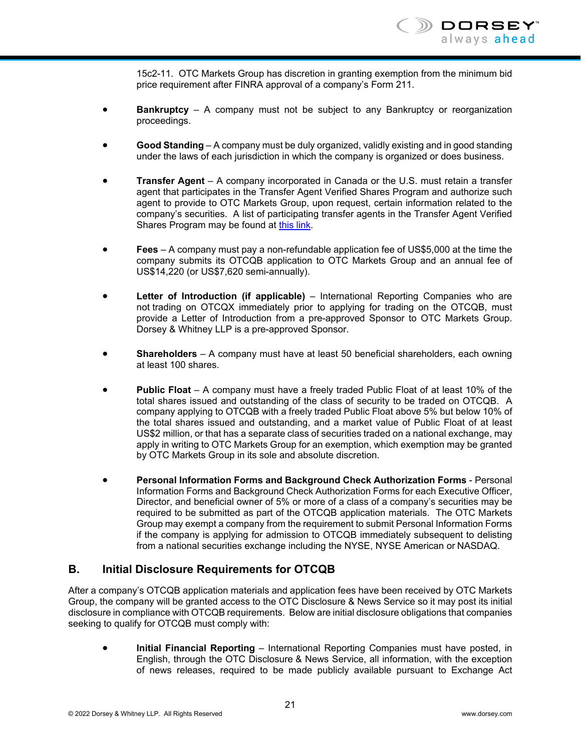15c2-11. OTC Markets Group has discretion in granting exemption from the minimum bid price requirement after FINRA approval of a company's Form 211.

- **Bankruptcy** A company must not be subject to any Bankruptcy or reorganization proceedings.
- **Good Standing** A company must be duly organized, validly existing and in good standing under the laws of each jurisdiction in which the company is organized or does business.
- **Transfer Agent** A company incorporated in Canada or the U.S. must retain a transfer agent that participates in the Transfer Agent Verified Shares Program and authorize such agent to provide to OTC Markets Group, upon request, certain information related to the company's securities. A list of participating transfer agents in the Transfer Agent Verified Shares Program may be found at this link.
- **Fees** A company must pay a non-refundable application fee of US\$5,000 at the time the company submits its OTCQB application to OTC Markets Group and an annual fee of US\$14,220 (or US\$7,620 semi-annually).
- **Letter of Introduction (if applicable)** International Reporting Companies who are not trading on OTCQX immediately prior to applying for trading on the OTCQB, must provide a Letter of Introduction from a pre-approved Sponsor to OTC Markets Group. Dorsey & Whitney LLP is a pre-approved Sponsor.
- **Shareholders** A company must have at least 50 beneficial shareholders, each owning at least 100 shares.
- **Public Float** A company must have a freely traded Public Float of at least 10% of the total shares issued and outstanding of the class of security to be traded on OTCQB. A company applying to OTCQB with a freely traded Public Float above 5% but below 10% of the total shares issued and outstanding, and a market value of Public Float of at least US\$2 million, or that has a separate class of securities traded on a national exchange, may apply in writing to OTC Markets Group for an exemption, which exemption may be granted by OTC Markets Group in its sole and absolute discretion.
- **Personal Information Forms and Background Check Authorization Forms**  Personal Information Forms and Background Check Authorization Forms for each Executive Officer, Director, and beneficial owner of 5% or more of a class of a company's securities may be required to be submitted as part of the OTCQB application materials. The OTC Markets Group may exempt a company from the requirement to submit Personal Information Forms if the company is applying for admission to OTCQB immediately subsequent to delisting from a national securities exchange including the NYSE, NYSE American or NASDAQ.

# **B. Initial Disclosure Requirements for OTCQB**

After a company's OTCQB application materials and application fees have been received by OTC Markets Group, the company will be granted access to the OTC Disclosure & News Service so it may post its initial disclosure in compliance with OTCQB requirements. Below are initial disclosure obligations that companies seeking to qualify for OTCQB must comply with:

 **Initial Financial Reporting** – International Reporting Companies must have posted, in English, through the OTC Disclosure & News Service, all information, with the exception of news releases, required to be made publicly available pursuant to Exchange Act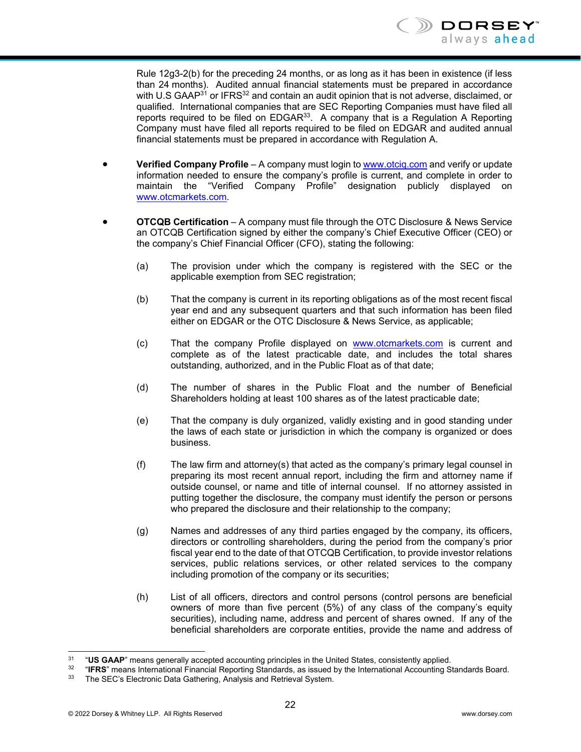Rule 12g3-2(b) for the preceding 24 months, or as long as it has been in existence (if less than 24 months). Audited annual financial statements must be prepared in accordance with U.S GAAP<sup>31</sup> or IFRS<sup>32</sup> and contain an audit opinion that is not adverse, disclaimed, or qualified. International companies that are SEC Reporting Companies must have filed all reports required to be filed on  $EDGAR<sup>33</sup>$ . A company that is a Regulation A Reporting Company must have filed all reports required to be filed on EDGAR and audited annual financial statements must be prepared in accordance with Regulation A.

- **Verified Company Profile** A company must login to www.otciq.com and verify or update information needed to ensure the company's profile is current, and complete in order to maintain the "Verified Company Profile" designation publicly displayed on www.otcmarkets.com.
- **OTCQB Certification** A company must file through the OTC Disclosure & News Service an OTCQB Certification signed by either the company's Chief Executive Officer (CEO) or the company's Chief Financial Officer (CFO), stating the following:
	- (a) The provision under which the company is registered with the SEC or the applicable exemption from SEC registration;
	- (b) That the company is current in its reporting obligations as of the most recent fiscal year end and any subsequent quarters and that such information has been filed either on EDGAR or the OTC Disclosure & News Service, as applicable;
	- (c) That the company Profile displayed on www.otcmarkets.com is current and complete as of the latest practicable date, and includes the total shares outstanding, authorized, and in the Public Float as of that date;
	- (d) The number of shares in the Public Float and the number of Beneficial Shareholders holding at least 100 shares as of the latest practicable date;
	- (e) That the company is duly organized, validly existing and in good standing under the laws of each state or jurisdiction in which the company is organized or does business.
	- (f) The law firm and attorney(s) that acted as the company's primary legal counsel in preparing its most recent annual report, including the firm and attorney name if outside counsel, or name and title of internal counsel. If no attorney assisted in putting together the disclosure, the company must identify the person or persons who prepared the disclosure and their relationship to the company;
	- (g) Names and addresses of any third parties engaged by the company, its officers, directors or controlling shareholders, during the period from the company's prior fiscal year end to the date of that OTCQB Certification, to provide investor relations services, public relations services, or other related services to the company including promotion of the company or its securities;
	- (h) List of all officers, directors and control persons (control persons are beneficial owners of more than five percent (5%) of any class of the company's equity securities), including name, address and percent of shares owned. If any of the beneficial shareholders are corporate entities, provide the name and address of

 $31$ 

<sup>&</sup>lt;sup>31</sup> "US GAAP" means generally accepted accounting principles in the United States, consistently applied.<br><sup>32</sup> "IFRS" means International Financial Reporting Standards, as issued by the International Accounting Standards B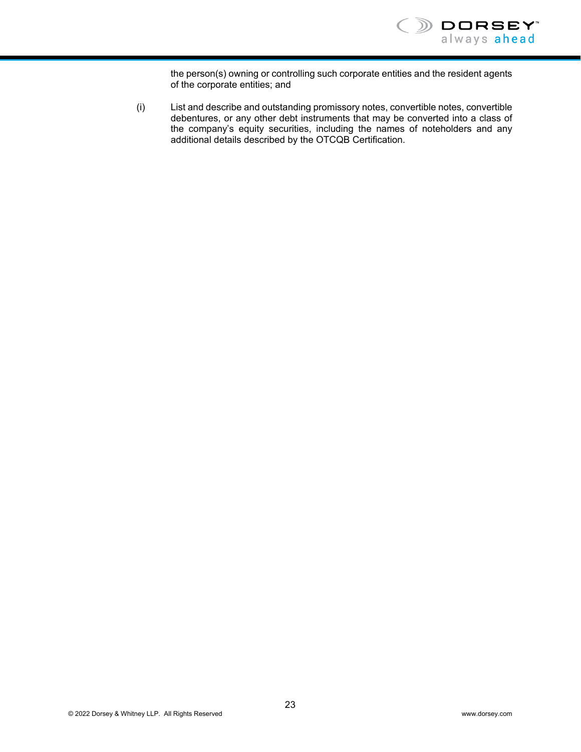

the person(s) owning or controlling such corporate entities and the resident agents of the corporate entities; and

(i) List and describe and outstanding promissory notes, convertible notes, convertible debentures, or any other debt instruments that may be converted into a class of the company's equity securities, including the names of noteholders and any additional details described by the OTCQB Certification.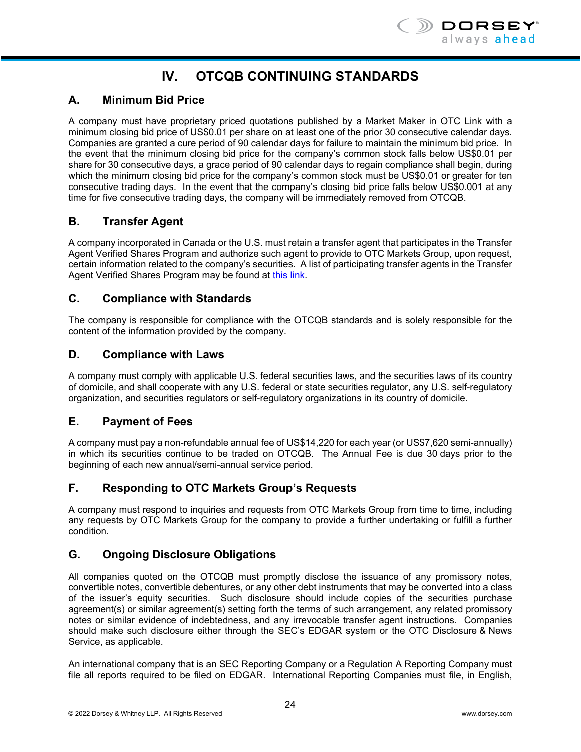# **IV. OTCQB CONTINUING STANDARDS**

# **A. Minimum Bid Price**

A company must have proprietary priced quotations published by a Market Maker in OTC Link with a minimum closing bid price of US\$0.01 per share on at least one of the prior 30 consecutive calendar days. Companies are granted a cure period of 90 calendar days for failure to maintain the minimum bid price. In the event that the minimum closing bid price for the company's common stock falls below US\$0.01 per share for 30 consecutive days, a grace period of 90 calendar days to regain compliance shall begin, during which the minimum closing bid price for the company's common stock must be US\$0.01 or greater for ten consecutive trading days. In the event that the company's closing bid price falls below US\$0.001 at any time for five consecutive trading days, the company will be immediately removed from OTCQB.

# **B. Transfer Agent**

A company incorporated in Canada or the U.S. must retain a transfer agent that participates in the Transfer Agent Verified Shares Program and authorize such agent to provide to OTC Markets Group, upon request, certain information related to the company's securities. A list of participating transfer agents in the Transfer Agent Verified Shares Program may be found at this link.

# **C. Compliance with Standards**

The company is responsible for compliance with the OTCQB standards and is solely responsible for the content of the information provided by the company.

# **D. Compliance with Laws**

A company must comply with applicable U.S. federal securities laws, and the securities laws of its country of domicile, and shall cooperate with any U.S. federal or state securities regulator, any U.S. self-regulatory organization, and securities regulators or self-regulatory organizations in its country of domicile.

# **E. Payment of Fees**

A company must pay a non-refundable annual fee of US\$14,220 for each year (or US\$7,620 semi-annually) in which its securities continue to be traded on OTCQB. The Annual Fee is due 30 days prior to the beginning of each new annual/semi-annual service period.

# **F. Responding to OTC Markets Group's Requests**

A company must respond to inquiries and requests from OTC Markets Group from time to time, including any requests by OTC Markets Group for the company to provide a further undertaking or fulfill a further condition.

# **G. Ongoing Disclosure Obligations**

All companies quoted on the OTCQB must promptly disclose the issuance of any promissory notes, convertible notes, convertible debentures, or any other debt instruments that may be converted into a class of the issuer's equity securities. Such disclosure should include copies of the securities purchase agreement(s) or similar agreement(s) setting forth the terms of such arrangement, any related promissory notes or similar evidence of indebtedness, and any irrevocable transfer agent instructions. Companies should make such disclosure either through the SEC's EDGAR system or the OTC Disclosure & News Service, as applicable.

An international company that is an SEC Reporting Company or a Regulation A Reporting Company must file all reports required to be filed on EDGAR. International Reporting Companies must file, in English,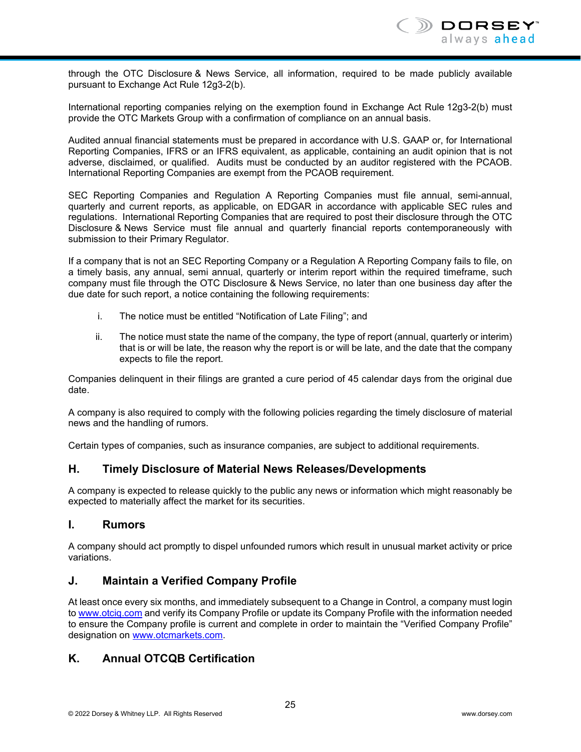through the OTC Disclosure & News Service, all information, required to be made publicly available pursuant to Exchange Act Rule 12g3-2(b).

International reporting companies relying on the exemption found in Exchange Act Rule 12g3-2(b) must provide the OTC Markets Group with a confirmation of compliance on an annual basis.

Audited annual financial statements must be prepared in accordance with U.S. GAAP or, for International Reporting Companies, IFRS or an IFRS equivalent, as applicable, containing an audit opinion that is not adverse, disclaimed, or qualified. Audits must be conducted by an auditor registered with the PCAOB. International Reporting Companies are exempt from the PCAOB requirement.

SEC Reporting Companies and Regulation A Reporting Companies must file annual, semi-annual, quarterly and current reports, as applicable, on EDGAR in accordance with applicable SEC rules and regulations. International Reporting Companies that are required to post their disclosure through the OTC Disclosure & News Service must file annual and quarterly financial reports contemporaneously with submission to their Primary Regulator.

If a company that is not an SEC Reporting Company or a Regulation A Reporting Company fails to file, on a timely basis, any annual, semi annual, quarterly or interim report within the required timeframe, such company must file through the OTC Disclosure & News Service, no later than one business day after the due date for such report, a notice containing the following requirements:

- i. The notice must be entitled "Notification of Late Filing"; and
- ii. The notice must state the name of the company, the type of report (annual, quarterly or interim) that is or will be late, the reason why the report is or will be late, and the date that the company expects to file the report.

Companies delinquent in their filings are granted a cure period of 45 calendar days from the original due date.

A company is also required to comply with the following policies regarding the timely disclosure of material news and the handling of rumors.

Certain types of companies, such as insurance companies, are subject to additional requirements.

# **H. Timely Disclosure of Material News Releases/Developments**

A company is expected to release quickly to the public any news or information which might reasonably be expected to materially affect the market for its securities.

#### **I. Rumors**

A company should act promptly to dispel unfounded rumors which result in unusual market activity or price variations.

#### **J. Maintain a Verified Company Profile**

At least once every six months, and immediately subsequent to a Change in Control, a company must login to www.otciq.com and verify its Company Profile or update its Company Profile with the information needed to ensure the Company profile is current and complete in order to maintain the "Verified Company Profile" designation on www.otcmarkets.com.

# **K. Annual OTCQB Certification**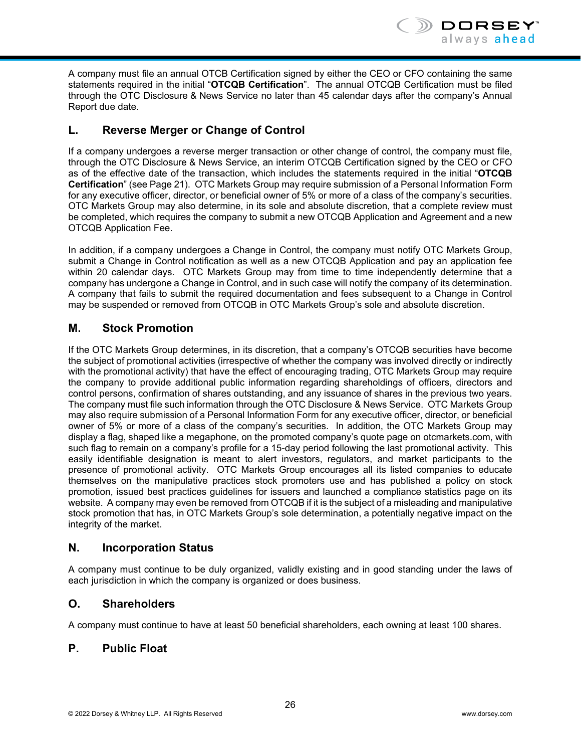

A company must file an annual OTCB Certification signed by either the CEO or CFO containing the same statements required in the initial "**OTCQB Certification**". The annual OTCQB Certification must be filed through the OTC Disclosure & News Service no later than 45 calendar days after the company's Annual Report due date.

# **L. Reverse Merger or Change of Control**

If a company undergoes a reverse merger transaction or other change of control, the company must file, through the OTC Disclosure & News Service, an interim OTCQB Certification signed by the CEO or CFO as of the effective date of the transaction, which includes the statements required in the initial "**OTCQB Certification**" (see Page 21). OTC Markets Group may require submission of a Personal Information Form for any executive officer, director, or beneficial owner of 5% or more of a class of the company's securities. OTC Markets Group may also determine, in its sole and absolute discretion, that a complete review must be completed, which requires the company to submit a new OTCQB Application and Agreement and a new OTCQB Application Fee.

In addition, if a company undergoes a Change in Control, the company must notify OTC Markets Group, submit a Change in Control notification as well as a new OTCQB Application and pay an application fee within 20 calendar days. OTC Markets Group may from time to time independently determine that a company has undergone a Change in Control, and in such case will notify the company of its determination. A company that fails to submit the required documentation and fees subsequent to a Change in Control may be suspended or removed from OTCQB in OTC Markets Group's sole and absolute discretion.

# **M. Stock Promotion**

If the OTC Markets Group determines, in its discretion, that a company's OTCQB securities have become the subject of promotional activities (irrespective of whether the company was involved directly or indirectly with the promotional activity) that have the effect of encouraging trading, OTC Markets Group may require the company to provide additional public information regarding shareholdings of officers, directors and control persons, confirmation of shares outstanding, and any issuance of shares in the previous two years. The company must file such information through the OTC Disclosure & News Service. OTC Markets Group may also require submission of a Personal Information Form for any executive officer, director, or beneficial owner of 5% or more of a class of the company's securities. In addition, the OTC Markets Group may display a flag, shaped like a megaphone, on the promoted company's quote page on otcmarkets.com, with such flag to remain on a company's profile for a 15-day period following the last promotional activity. This easily identifiable designation is meant to alert investors, regulators, and market participants to the presence of promotional activity. OTC Markets Group encourages all its listed companies to educate themselves on the manipulative practices stock promoters use and has published a policy on stock promotion, issued best practices guidelines for issuers and launched a compliance statistics page on its website. A company may even be removed from OTCQB if it is the subject of a misleading and manipulative stock promotion that has, in OTC Markets Group's sole determination, a potentially negative impact on the integrity of the market.

# **N. Incorporation Status**

A company must continue to be duly organized, validly existing and in good standing under the laws of each jurisdiction in which the company is organized or does business.

# **O. Shareholders**

A company must continue to have at least 50 beneficial shareholders, each owning at least 100 shares.

# **P. Public Float**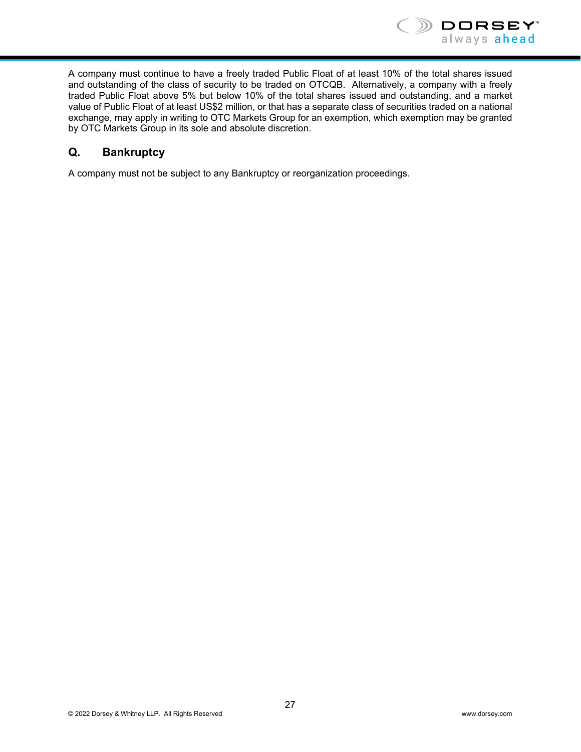

A company must continue to have a freely traded Public Float of at least 10% of the total shares issued and outstanding of the class of security to be traded on OTCQB. Alternatively, a company with a freely traded Public Float above 5% but below 10% of the total shares issued and outstanding, and a market value of Public Float of at least US\$2 million, or that has a separate class of securities traded on a national exchange, may apply in writing to OTC Markets Group for an exemption, which exemption may be granted by OTC Markets Group in its sole and absolute discretion.

# **Q. Bankruptcy**

A company must not be subject to any Bankruptcy or reorganization proceedings.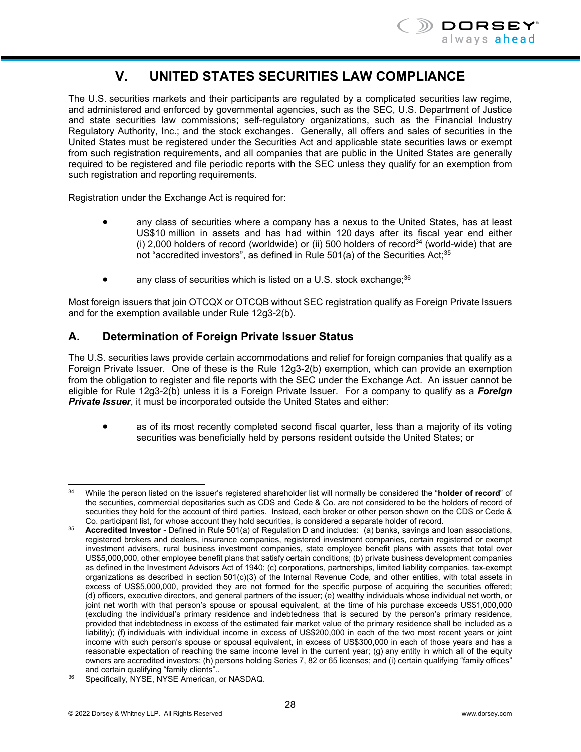

# **V. UNITED STATES SECURITIES LAW COMPLIANCE**

The U.S. securities markets and their participants are regulated by a complicated securities law regime, and administered and enforced by governmental agencies, such as the SEC, U.S. Department of Justice and state securities law commissions; self-regulatory organizations, such as the Financial Industry Regulatory Authority, Inc.; and the stock exchanges. Generally, all offers and sales of securities in the United States must be registered under the Securities Act and applicable state securities laws or exempt from such registration requirements, and all companies that are public in the United States are generally required to be registered and file periodic reports with the SEC unless they qualify for an exemption from such registration and reporting requirements.

Registration under the Exchange Act is required for:

- any class of securities where a company has a nexus to the United States, has at least US\$10 million in assets and has had within 120 days after its fiscal year end either (i) 2,000 holders of record (worldwide) or (ii) 500 holders of record<sup>34</sup> (world-wide) that are not "accredited investors", as defined in Rule  $501(a)$  of the Securities Act;<sup>35</sup>
- any class of securities which is listed on a U.S. stock exchange; $36$

Most foreign issuers that join OTCQX or OTCQB without SEC registration qualify as Foreign Private Issuers and for the exemption available under Rule 12g3-2(b).

# **A. Determination of Foreign Private Issuer Status**

The U.S. securities laws provide certain accommodations and relief for foreign companies that qualify as a Foreign Private Issuer. One of these is the Rule 12g3-2(b) exemption, which can provide an exemption from the obligation to register and file reports with the SEC under the Exchange Act. An issuer cannot be eligible for Rule 12g3-2(b) unless it is a Foreign Private Issuer. For a company to qualify as a *Foreign Private Issuer*, it must be incorporated outside the United States and either:

• as of its most recently completed second fiscal quarter, less than a majority of its voting securities was beneficially held by persons resident outside the United States; or

l 34 While the person listed on the issuer's registered shareholder list will normally be considered the "**holder of record**" of the securities, commercial depositaries such as CDS and Cede & Co. are not considered to be the holders of record of securities they hold for the account of third parties. Instead, each broker or other person shown on the CDS or Cede &<br>Co. participant list, for whose account they hold securities, is considered a separate holder of record

<sup>&</sup>lt;sup>35</sup> Accredited Investor - Defined in Rule 501(a) of Regulation D and includes: (a) banks, savings and loan associations, registered brokers and dealers, insurance companies, registered investment companies, certain registered or exempt investment advisers, rural business investment companies, state employee benefit plans with assets that total over US\$5,000,000, other employee benefit plans that satisfy certain conditions; (b) private business development companies as defined in the Investment Advisors Act of 1940; (c) corporations, partnerships, limited liability companies, tax-exempt organizations as described in section 501(c)(3) of the Internal Revenue Code, and other entities, with total assets in excess of US\$5,000,000, provided they are not formed for the specific purpose of acquiring the securities offered; (d) officers, executive directors, and general partners of the issuer; (e) wealthy individuals whose individual net worth, or joint net worth with that person's spouse or spousal equivalent, at the time of his purchase exceeds US\$1,000,000 (excluding the individual's primary residence and indebtedness that is secured by the person's primary residence, provided that indebtedness in excess of the estimated fair market value of the primary residence shall be included as a liability); (f) individuals with individual income in excess of US\$200,000 in each of the two most recent years or joint income with such person's spouse or spousal equivalent, in excess of US\$300,000 in each of those years and has a reasonable expectation of reaching the same income level in the current year; (g) any entity in which all of the equity owners are accredited investors; (h) persons holding Series 7, 82 or 65 licenses; and (i) certain qualifying "family offices"

<sup>&</sup>lt;sup>36</sup> Specifically, NYSE, NYSE American, or NASDAQ.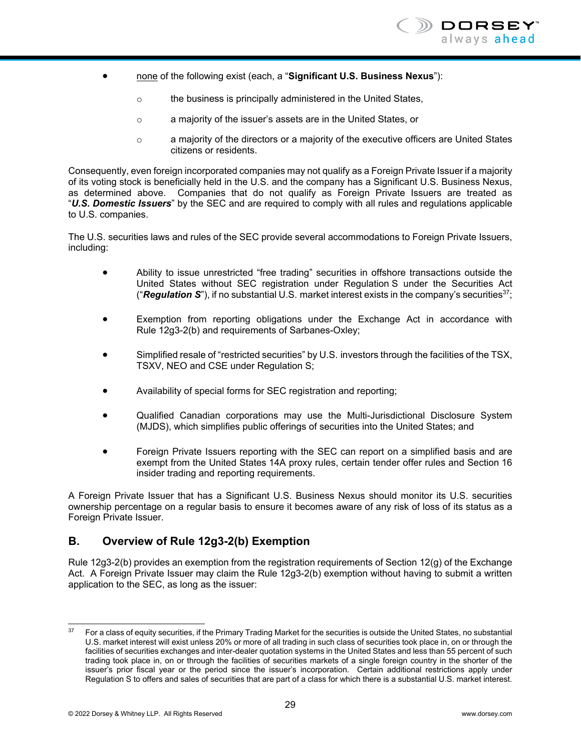- none of the following exist (each, a "**Significant U.S. Business Nexus**"):
	- o the business is principally administered in the United States,
	- o a majority of the issuer's assets are in the United States, or
	- $\circ$  a majority of the directors or a majority of the executive officers are United States citizens or residents.

Consequently, even foreign incorporated companies may not qualify as a Foreign Private Issuer if a majority of its voting stock is beneficially held in the U.S. and the company has a Significant U.S. Business Nexus, as determined above. Companies that do not qualify as Foreign Private Issuers are treated as "*U.S. Domestic Issuers*" by the SEC and are required to comply with all rules and regulations applicable to U.S. companies.

The U.S. securities laws and rules of the SEC provide several accommodations to Foreign Private Issuers, including:

- Ability to issue unrestricted "free trading" securities in offshore transactions outside the United States without SEC registration under Regulation S under the Securities Act ("*Regulation S*"), if no substantial U.S. market interest exists in the company's securities37;
- Exemption from reporting obligations under the Exchange Act in accordance with Rule 12g3-2(b) and requirements of Sarbanes-Oxley;
- Simplified resale of "restricted securities" by U.S. investors through the facilities of the TSX, TSXV, NEO and CSE under Regulation S;
- Availability of special forms for SEC registration and reporting;
- Qualified Canadian corporations may use the Multi-Jurisdictional Disclosure System (MJDS), which simplifies public offerings of securities into the United States; and
- Foreign Private Issuers reporting with the SEC can report on a simplified basis and are exempt from the United States 14A proxy rules, certain tender offer rules and Section 16 insider trading and reporting requirements.

A Foreign Private Issuer that has a Significant U.S. Business Nexus should monitor its U.S. securities ownership percentage on a regular basis to ensure it becomes aware of any risk of loss of its status as a Foreign Private Issuer.

# **B. Overview of Rule 12g3-2(b) Exemption**

Rule 12g3-2(b) provides an exemption from the registration requirements of Section 12(g) of the Exchange Act. A Foreign Private Issuer may claim the Rule 12g3-2(b) exemption without having to submit a written application to the SEC, as long as the issuer:

 $37$ For a class of equity securities, if the Primary Trading Market for the securities is outside the United States, no substantial U.S. market interest will exist unless 20% or more of all trading in such class of securities took place in, on or through the facilities of securities exchanges and inter-dealer quotation systems in the United States and less than 55 percent of such trading took place in, on or through the facilities of securities markets of a single foreign country in the shorter of the issuer's prior fiscal year or the period since the issuer's incorporation. Certain additional restrictions apply under Regulation S to offers and sales of securities that are part of a class for which there is a substantial U.S. market interest.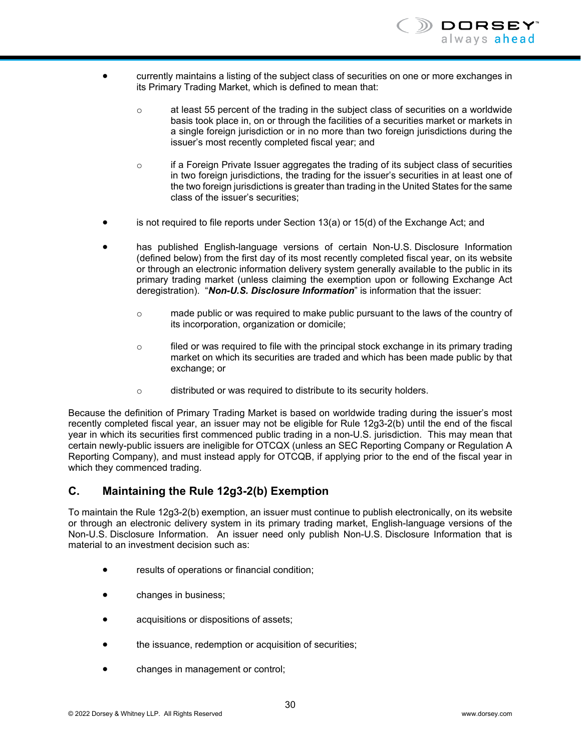

- currently maintains a listing of the subject class of securities on one or more exchanges in its Primary Trading Market, which is defined to mean that:
	- $\circ$  at least 55 percent of the trading in the subject class of securities on a worldwide basis took place in, on or through the facilities of a securities market or markets in a single foreign jurisdiction or in no more than two foreign jurisdictions during the issuer's most recently completed fiscal year; and
	- $\circ$  if a Foreign Private Issuer aggregates the trading of its subject class of securities in two foreign jurisdictions, the trading for the issuer's securities in at least one of the two foreign jurisdictions is greater than trading in the United States for the same class of the issuer's securities;
- is not required to file reports under Section 13(a) or 15(d) of the Exchange Act; and
- has published English-language versions of certain Non-U.S. Disclosure Information (defined below) from the first day of its most recently completed fiscal year, on its website or through an electronic information delivery system generally available to the public in its primary trading market (unless claiming the exemption upon or following Exchange Act deregistration). "*Non-U.S. Disclosure Information*" is information that the issuer:
	- o made public or was required to make public pursuant to the laws of the country of its incorporation, organization or domicile;
	- $\circ$  filed or was required to file with the principal stock exchange in its primary trading market on which its securities are traded and which has been made public by that exchange; or
	- o distributed or was required to distribute to its security holders.

Because the definition of Primary Trading Market is based on worldwide trading during the issuer's most recently completed fiscal year, an issuer may not be eligible for Rule 12g3-2(b) until the end of the fiscal year in which its securities first commenced public trading in a non-U.S. jurisdiction. This may mean that certain newly-public issuers are ineligible for OTCQX (unless an SEC Reporting Company or Regulation A Reporting Company), and must instead apply for OTCQB, if applying prior to the end of the fiscal year in which they commenced trading.

#### **C. Maintaining the Rule 12g3-2(b) Exemption**

To maintain the Rule 12g3-2(b) exemption, an issuer must continue to publish electronically, on its website or through an electronic delivery system in its primary trading market, English-language versions of the Non-U.S. Disclosure Information. An issuer need only publish Non-U.S. Disclosure Information that is material to an investment decision such as:

- results of operations or financial condition;
- changes in business;
- acquisitions or dispositions of assets;
- the issuance, redemption or acquisition of securities;
- changes in management or control;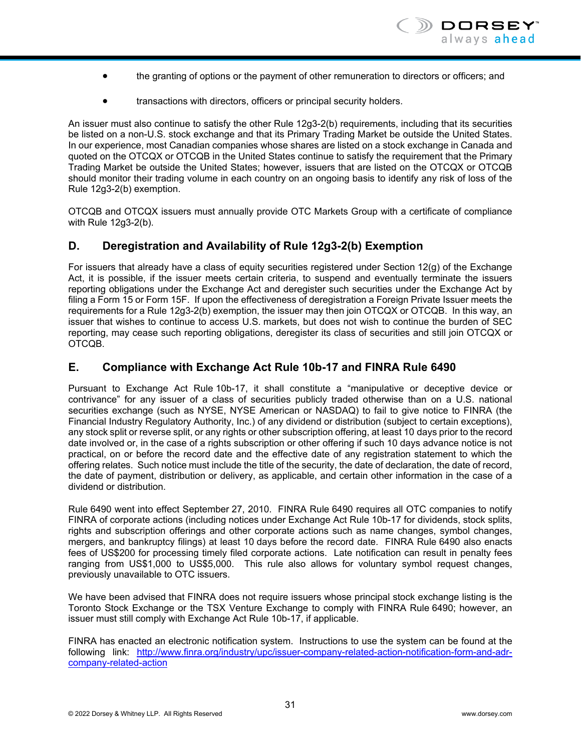- the granting of options or the payment of other remuneration to directors or officers; and
- transactions with directors, officers or principal security holders.

An issuer must also continue to satisfy the other Rule 12g3-2(b) requirements, including that its securities be listed on a non-U.S. stock exchange and that its Primary Trading Market be outside the United States. In our experience, most Canadian companies whose shares are listed on a stock exchange in Canada and quoted on the OTCQX or OTCQB in the United States continue to satisfy the requirement that the Primary Trading Market be outside the United States; however, issuers that are listed on the OTCQX or OTCQB should monitor their trading volume in each country on an ongoing basis to identify any risk of loss of the Rule 12g3-2(b) exemption.

OTCQB and OTCQX issuers must annually provide OTC Markets Group with a certificate of compliance with Rule 12g3-2(b).

# **D. Deregistration and Availability of Rule 12g3-2(b) Exemption**

For issuers that already have a class of equity securities registered under Section 12(g) of the Exchange Act, it is possible, if the issuer meets certain criteria, to suspend and eventually terminate the issuers reporting obligations under the Exchange Act and deregister such securities under the Exchange Act by filing a Form 15 or Form 15F. If upon the effectiveness of deregistration a Foreign Private Issuer meets the requirements for a Rule 12g3-2(b) exemption, the issuer may then join OTCQX or OTCQB. In this way, an issuer that wishes to continue to access U.S. markets, but does not wish to continue the burden of SEC reporting, may cease such reporting obligations, deregister its class of securities and still join OTCQX or OTCQB.

#### **E. Compliance with Exchange Act Rule 10b-17 and FINRA Rule 6490**

Pursuant to Exchange Act Rule 10b-17, it shall constitute a "manipulative or deceptive device or contrivance" for any issuer of a class of securities publicly traded otherwise than on a U.S. national securities exchange (such as NYSE, NYSE American or NASDAQ) to fail to give notice to FINRA (the Financial Industry Regulatory Authority, Inc.) of any dividend or distribution (subject to certain exceptions), any stock split or reverse split, or any rights or other subscription offering, at least 10 days prior to the record date involved or, in the case of a rights subscription or other offering if such 10 days advance notice is not practical, on or before the record date and the effective date of any registration statement to which the offering relates. Such notice must include the title of the security, the date of declaration, the date of record, the date of payment, distribution or delivery, as applicable, and certain other information in the case of a dividend or distribution.

Rule 6490 went into effect September 27, 2010. FINRA Rule 6490 requires all OTC companies to notify FINRA of corporate actions (including notices under Exchange Act Rule 10b-17 for dividends, stock splits, rights and subscription offerings and other corporate actions such as name changes, symbol changes, mergers, and bankruptcy filings) at least 10 days before the record date. FINRA Rule 6490 also enacts fees of US\$200 for processing timely filed corporate actions. Late notification can result in penalty fees ranging from US\$1,000 to US\$5,000. This rule also allows for voluntary symbol request changes, previously unavailable to OTC issuers.

We have been advised that FINRA does not require issuers whose principal stock exchange listing is the Toronto Stock Exchange or the TSX Venture Exchange to comply with FINRA Rule 6490; however, an issuer must still comply with Exchange Act Rule 10b-17, if applicable.

FINRA has enacted an electronic notification system. Instructions to use the system can be found at the following link: http://www.finra.org/industry/upc/issuer-company-related-action-notification-form-and-adrcompany-related-action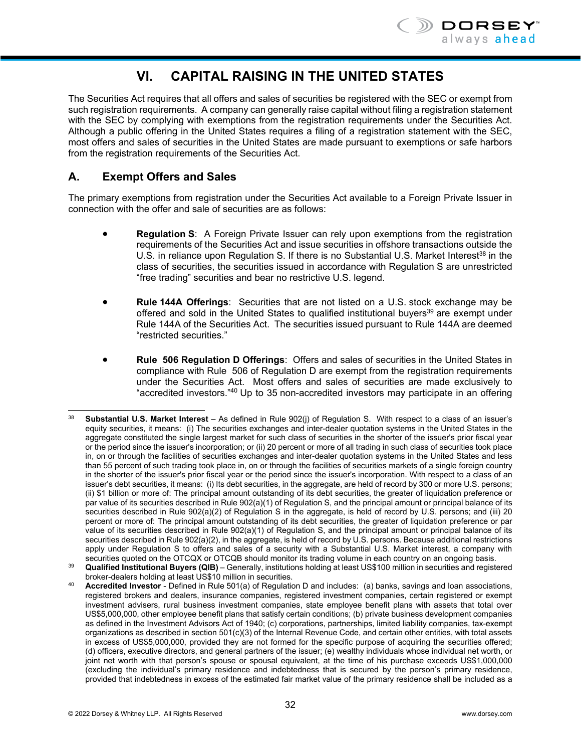

# **VI. CAPITAL RAISING IN THE UNITED STATES**

The Securities Act requires that all offers and sales of securities be registered with the SEC or exempt from such registration requirements. A company can generally raise capital without filing a registration statement with the SEC by complying with exemptions from the registration requirements under the Securities Act. Although a public offering in the United States requires a filing of a registration statement with the SEC, most offers and sales of securities in the United States are made pursuant to exemptions or safe harbors from the registration requirements of the Securities Act.

# **A. Exempt Offers and Sales**

The primary exemptions from registration under the Securities Act available to a Foreign Private Issuer in connection with the offer and sale of securities are as follows:

- **Regulation S**: A Foreign Private Issuer can rely upon exemptions from the registration requirements of the Securities Act and issue securities in offshore transactions outside the U.S. in reliance upon Regulation S. If there is no Substantial U.S. Market Interest<sup>38</sup> in the class of securities, the securities issued in accordance with Regulation S are unrestricted "free trading" securities and bear no restrictive U.S. legend.
- **Rule 144A Offerings**: Securities that are not listed on a U.S. stock exchange may be offered and sold in the United States to qualified institutional buyers<sup>39</sup> are exempt under Rule 144A of the Securities Act. The securities issued pursuant to Rule 144A are deemed "restricted securities."
- **Rule 506 Regulation D Offerings**: Offers and sales of securities in the United States in compliance with Rule 506 of Regulation D are exempt from the registration requirements under the Securities Act. Most offers and sales of securities are made exclusively to "accredited investors."40 Up to 35 non-accredited investors may participate in an offering

l <sup>38</sup> **Substantial U.S. Market Interest** – As defined in Rule 902(j) of Regulation S. With respect to a class of an issuer's equity securities, it means: (i) The securities exchanges and inter-dealer quotation systems in the United States in the aggregate constituted the single largest market for such class of securities in the shorter of the issuer's prior fiscal year or the period since the issuer's incorporation; or (ii) 20 percent or more of all trading in such class of securities took place in, on or through the facilities of securities exchanges and inter-dealer quotation systems in the United States and less than 55 percent of such trading took place in, on or through the facilities of securities markets of a single foreign country in the shorter of the issuer's prior fiscal year or the period since the issuer's incorporation. With respect to a class of an issuer's debt securities, it means: (i) Its debt securities, in the aggregate, are held of record by 300 or more U.S. persons; (ii) \$1 billion or more of: The principal amount outstanding of its debt securities, the greater of liquidation preference or par value of its securities described in Rule 902(a)(1) of Regulation S, and the principal amount or principal balance of its securities described in Rule 902(a)(2) of Regulation S in the aggregate, is held of record by U.S. persons; and (iii) 20 percent or more of: The principal amount outstanding of its debt securities, the greater of liquidation preference or par value of its securities described in Rule 902(a)(1) of Regulation S, and the principal amount or principal balance of its securities described in Rule 902(a)(2), in the aggregate, is held of record by U.S. persons. Because additional restrictions apply under Regulation S to offers and sales of a security with a Substantial U.S. Market interest, a company with securities quoted on the OTCQX or OTCQB should monitor its trading volume in each country on an ongoing basis.

<sup>39</sup> **Qualified Institutional Buyers (QIB)** – Generally, institutions holding at least US\$100 million in securities and registered

**Accredited Investor** - Defined in Rule 501(a) of Regulation D and includes: (a) banks, savings and loan associations, registered brokers and dealers, insurance companies, registered investment companies, certain registered or exempt investment advisers, rural business investment companies, state employee benefit plans with assets that total over US\$5,000,000, other employee benefit plans that satisfy certain conditions; (b) private business development companies as defined in the Investment Advisors Act of 1940; (c) corporations, partnerships, limited liability companies, tax-exempt organizations as described in section 501(c)(3) of the Internal Revenue Code, and certain other entities, with total assets in excess of US\$5,000,000, provided they are not formed for the specific purpose of acquiring the securities offered; (d) officers, executive directors, and general partners of the issuer; (e) wealthy individuals whose individual net worth, or joint net worth with that person's spouse or spousal equivalent, at the time of his purchase exceeds US\$1,000,000 (excluding the individual's primary residence and indebtedness that is secured by the person's primary residence, provided that indebtedness in excess of the estimated fair market value of the primary residence shall be included as a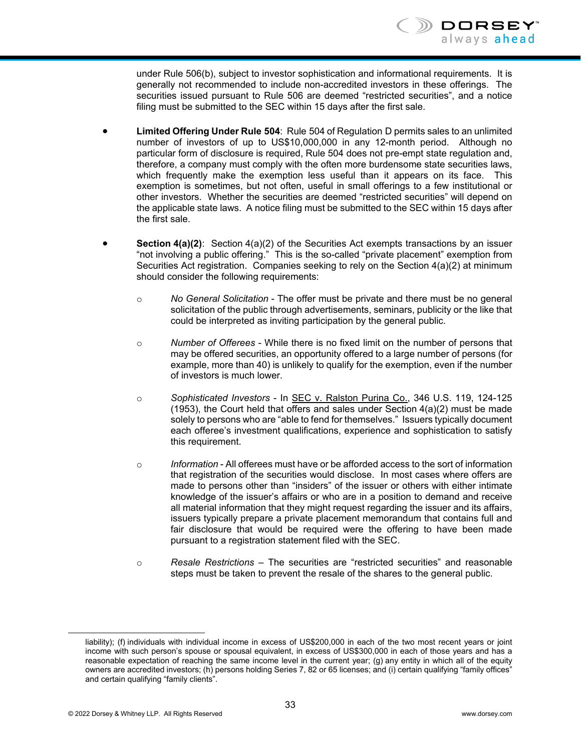under Rule 506(b), subject to investor sophistication and informational requirements. It is generally not recommended to include non-accredited investors in these offerings. The securities issued pursuant to Rule 506 are deemed "restricted securities", and a notice filing must be submitted to the SEC within 15 days after the first sale.

- **Limited Offering Under Rule 504**: Rule 504 of Regulation D permits sales to an unlimited number of investors of up to US\$10,000,000 in any 12-month period. Although no particular form of disclosure is required, Rule 504 does not pre-empt state regulation and, therefore, a company must comply with the often more burdensome state securities laws, which frequently make the exemption less useful than it appears on its face. This exemption is sometimes, but not often, useful in small offerings to a few institutional or other investors. Whether the securities are deemed "restricted securities" will depend on the applicable state laws. A notice filing must be submitted to the SEC within 15 days after the first sale.
- **Section 4(a)(2)**: Section 4(a)(2) of the Securities Act exempts transactions by an issuer "not involving a public offering." This is the so-called "private placement" exemption from Securities Act registration. Companies seeking to rely on the Section 4(a)(2) at minimum should consider the following requirements:
	- o *No General Solicitation* The offer must be private and there must be no general solicitation of the public through advertisements, seminars, publicity or the like that could be interpreted as inviting participation by the general public.
	- o *Number of Offerees* While there is no fixed limit on the number of persons that may be offered securities, an opportunity offered to a large number of persons (for example, more than 40) is unlikely to qualify for the exemption, even if the number of investors is much lower.
	- o *Sophisticated Investors* In SEC v. Ralston Purina Co., 346 U.S. 119, 124-125  $(1953)$ , the Court held that offers and sales under Section  $4(a)(2)$  must be made solely to persons who are "able to fend for themselves." Issuers typically document each offeree's investment qualifications, experience and sophistication to satisfy this requirement.
	- o *Information* All offerees must have or be afforded access to the sort of information that registration of the securities would disclose. In most cases where offers are made to persons other than "insiders" of the issuer or others with either intimate knowledge of the issuer's affairs or who are in a position to demand and receive all material information that they might request regarding the issuer and its affairs, issuers typically prepare a private placement memorandum that contains full and fair disclosure that would be required were the offering to have been made pursuant to a registration statement filed with the SEC.
	- o *Resale Restrictions* The securities are "restricted securities" and reasonable steps must be taken to prevent the resale of the shares to the general public.

-

liability); (f) individuals with individual income in excess of US\$200,000 in each of the two most recent years or joint income with such person's spouse or spousal equivalent, in excess of US\$300,000 in each of those years and has a reasonable expectation of reaching the same income level in the current year; (g) any entity in which all of the equity owners are accredited investors; (h) persons holding Series 7, 82 or 65 licenses; and (i) certain qualifying "family offices" and certain qualifying "family clients".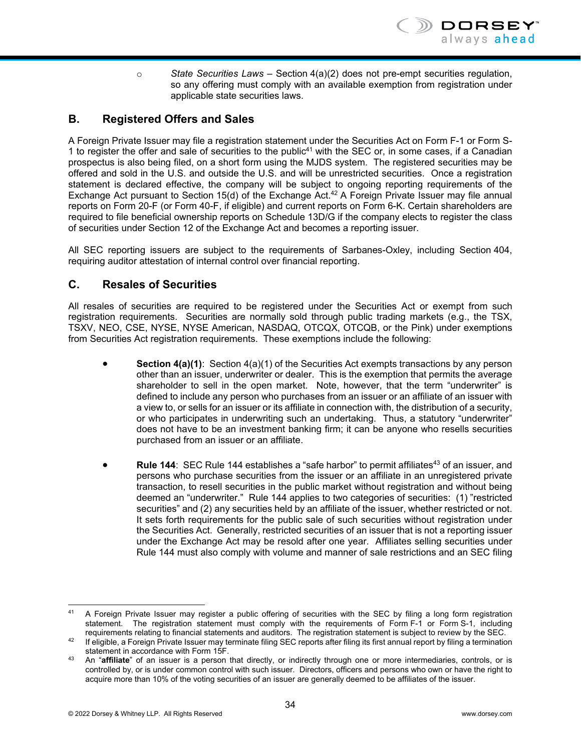o *State Securities Laws* – Section 4(a)(2) does not pre-empt securities regulation, so any offering must comply with an available exemption from registration under applicable state securities laws.

# **B. Registered Offers and Sales**

A Foreign Private Issuer may file a registration statement under the Securities Act on Form F-1 or Form S-1 to register the offer and sale of securities to the public<sup>41</sup> with the SEC or, in some cases, if a Canadian prospectus is also being filed, on a short form using the MJDS system. The registered securities may be offered and sold in the U.S. and outside the U.S. and will be unrestricted securities. Once a registration statement is declared effective, the company will be subject to ongoing reporting requirements of the Exchange Act pursuant to Section 15(d) of the Exchange Act.<sup>42</sup> A Foreign Private Issuer may file annual reports on Form 20-F (or Form 40-F, if eligible) and current reports on Form 6-K. Certain shareholders are required to file beneficial ownership reports on Schedule 13D/G if the company elects to register the class of securities under Section 12 of the Exchange Act and becomes a reporting issuer.

All SEC reporting issuers are subject to the requirements of Sarbanes-Oxley, including Section 404, requiring auditor attestation of internal control over financial reporting.

#### **C. Resales of Securities**

All resales of securities are required to be registered under the Securities Act or exempt from such registration requirements. Securities are normally sold through public trading markets (e.g., the TSX, TSXV, NEO, CSE, NYSE, NYSE American, NASDAQ, OTCQX, OTCQB, or the Pink) under exemptions from Securities Act registration requirements. These exemptions include the following:

- **Section 4(a)(1)**: Section 4(a)(1) of the Securities Act exempts transactions by any person other than an issuer, underwriter or dealer. This is the exemption that permits the average shareholder to sell in the open market. Note, however, that the term "underwriter" is defined to include any person who purchases from an issuer or an affiliate of an issuer with a view to, or sells for an issuer or its affiliate in connection with, the distribution of a security, or who participates in underwriting such an undertaking. Thus, a statutory "underwriter" does not have to be an investment banking firm; it can be anyone who resells securities purchased from an issuer or an affiliate.
- **Rule 144: SEC Rule 144 establishes a "safe harbor" to permit affiliates<sup>43</sup> of an issuer, and** persons who purchase securities from the issuer or an affiliate in an unregistered private transaction, to resell securities in the public market without registration and without being deemed an "underwriter." Rule 144 applies to two categories of securities: (1) "restricted securities" and (2) any securities held by an affiliate of the issuer, whether restricted or not. It sets forth requirements for the public sale of such securities without registration under the Securities Act. Generally, restricted securities of an issuer that is not a reporting issuer under the Exchange Act may be resold after one year. Affiliates selling securities under Rule 144 must also comply with volume and manner of sale restrictions and an SEC filing

DORSEY always ahead

 $41$ 41 A Foreign Private Issuer may register a public offering of securities with the SEC by filing a long form registration statement. The registration statement must comply with the requirements of Form F-1 or Form S-1, including requirements relating to financial statements and auditors. The registration statement is subject to review by the

<sup>&</sup>lt;sup>42</sup> If eligible, a Foreign Private Issuer may terminate filing SEC reports after filing its first annual report by filing a termination

statement in accordance with Form 15F. 43 An "**affiliate**" of an issuer is a person that directly, or indirectly through one or more intermediaries, controls, or is controlled by, or is under common control with such issuer. Directors, officers and persons who own or have the right to acquire more than 10% of the voting securities of an issuer are generally deemed to be affiliates of the issuer.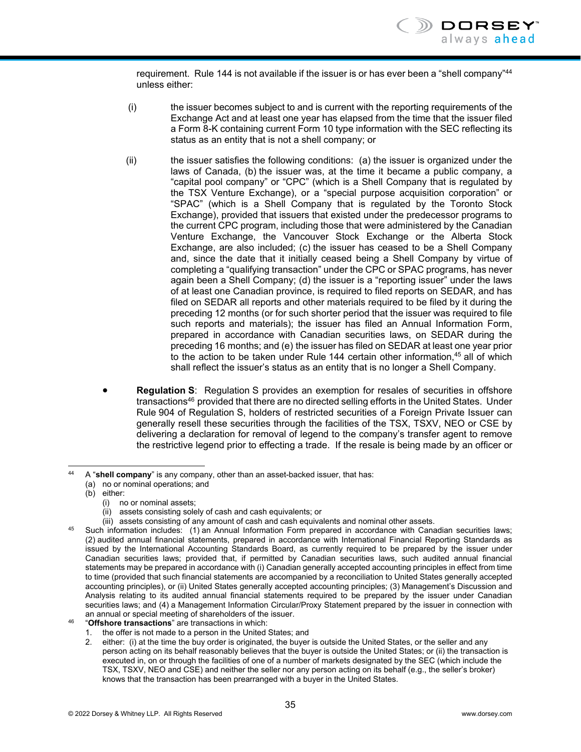requirement. Rule 144 is not available if the issuer is or has ever been a "shell company"<sup>44</sup> unless either:

- (i) the issuer becomes subject to and is current with the reporting requirements of the Exchange Act and at least one year has elapsed from the time that the issuer filed a Form 8-K containing current Form 10 type information with the SEC reflecting its status as an entity that is not a shell company; or
- (ii) the issuer satisfies the following conditions: (a) the issuer is organized under the laws of Canada, (b) the issuer was, at the time it became a public company, a "capital pool company" or "CPC" (which is a Shell Company that is regulated by the TSX Venture Exchange), or a "special purpose acquisition corporation" or "SPAC" (which is a Shell Company that is regulated by the Toronto Stock Exchange), provided that issuers that existed under the predecessor programs to the current CPC program, including those that were administered by the Canadian Venture Exchange, the Vancouver Stock Exchange or the Alberta Stock Exchange, are also included; (c) the issuer has ceased to be a Shell Company and, since the date that it initially ceased being a Shell Company by virtue of completing a "qualifying transaction" under the CPC or SPAC programs, has never again been a Shell Company; (d) the issuer is a "reporting issuer" under the laws of at least one Canadian province, is required to filed reports on SEDAR, and has filed on SEDAR all reports and other materials required to be filed by it during the preceding 12 months (or for such shorter period that the issuer was required to file such reports and materials); the issuer has filed an Annual Information Form, prepared in accordance with Canadian securities laws, on SEDAR during the preceding 16 months; and (e) the issuer has filed on SEDAR at least one year prior to the action to be taken under Rule 144 certain other information, $45$  all of which shall reflect the issuer's status as an entity that is no longer a Shell Company.
- **Regulation S**: Regulation S provides an exemption for resales of securities in offshore transactions<sup>46</sup> provided that there are no directed selling efforts in the United States. Under Rule 904 of Regulation S, holders of restricted securities of a Foreign Private Issuer can generally resell these securities through the facilities of the TSX, TSXV, NEO or CSE by delivering a declaration for removal of legend to the company's transfer agent to remove the restrictive legend prior to effecting a trade. If the resale is being made by an officer or

- (i) no or nominal assets;
	-
- (ii) assets consisting solely of cash and cash equivalents; or<br>(iii) assets consisting of any amount of cash and cash equivalents and nominal other assets.
- $45$  Such information includes: (1) an Annual Information Form prepared in accordance with Canadian securities laws; (2) audited annual financial statements, prepared in accordance with International Financial Reporting Standards as issued by the International Accounting Standards Board, as currently required to be prepared by the issuer under Canadian securities laws; provided that, if permitted by Canadian securities laws, such audited annual financial statements may be prepared in accordance with (i) Canadian generally accepted accounting principles in effect from time to time (provided that such financial statements are accompanied by a reconciliation to United States generally accepted accounting principles), or (ii) United States generally accepted accounting principles; (3) Management's Discussion and Analysis relating to its audited annual financial statements required to be prepared by the issuer under Canadian securities laws; and (4) a Management Information Circular/Proxy Statement prepared by the issuer in connection with an annual or special meeting of shareholders of the issuer. 46 "**Offshore transactions**" are transactions in which:
- - 1. the offer is not made to a person in the United States; and
	- 2. either: (i) at the time the buy order is originated, the buyer is outside the United States, or the seller and any person acting on its behalf reasonably believes that the buyer is outside the United States; or (ii) the transaction is executed in, on or through the facilities of one of a number of markets designated by the SEC (which include the TSX, TSXV, NEO and CSE) and neither the seller nor any person acting on its behalf (e.g., the seller's broker) knows that the transaction has been prearranged with a buyer in the United States.

l 44 A "**shell company**" is any company, other than an asset-backed issuer, that has:

<sup>(</sup>a) no or nominal operations; and

<sup>(</sup>b) either: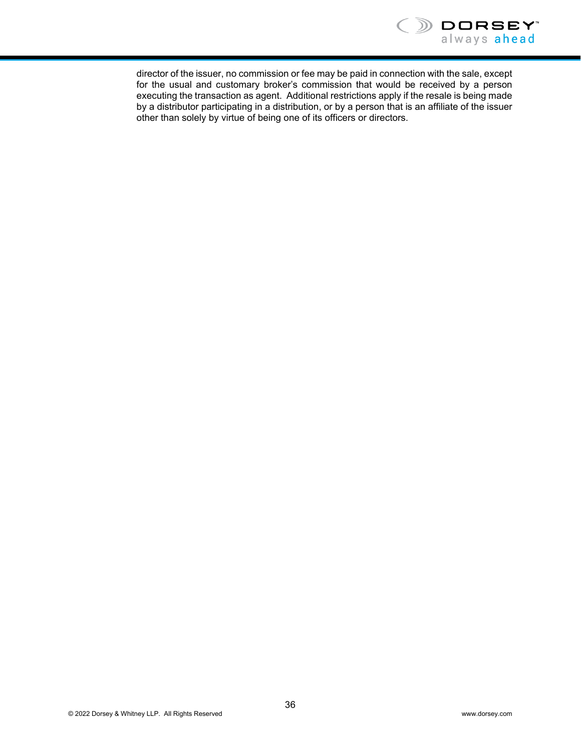

director of the issuer, no commission or fee may be paid in connection with the sale, except for the usual and customary broker's commission that would be received by a person executing the transaction as agent. Additional restrictions apply if the resale is being made by a distributor participating in a distribution, or by a person that is an affiliate of the issuer other than solely by virtue of being one of its officers or directors.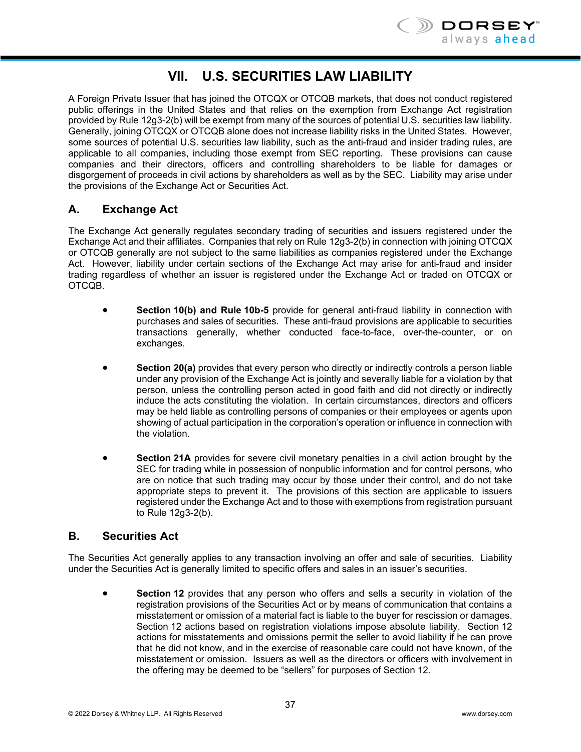

# **VII. U.S. SECURITIES LAW LIABILITY**

A Foreign Private Issuer that has joined the OTCQX or OTCQB markets, that does not conduct registered public offerings in the United States and that relies on the exemption from Exchange Act registration provided by Rule 12g3-2(b) will be exempt from many of the sources of potential U.S. securities law liability. Generally, joining OTCQX or OTCQB alone does not increase liability risks in the United States. However, some sources of potential U.S. securities law liability, such as the anti-fraud and insider trading rules, are applicable to all companies, including those exempt from SEC reporting. These provisions can cause companies and their directors, officers and controlling shareholders to be liable for damages or disgorgement of proceeds in civil actions by shareholders as well as by the SEC. Liability may arise under the provisions of the Exchange Act or Securities Act.

# **A. Exchange Act**

The Exchange Act generally regulates secondary trading of securities and issuers registered under the Exchange Act and their affiliates. Companies that rely on Rule 12g3-2(b) in connection with joining OTCQX or OTCQB generally are not subject to the same liabilities as companies registered under the Exchange Act. However, liability under certain sections of the Exchange Act may arise for anti-fraud and insider trading regardless of whether an issuer is registered under the Exchange Act or traded on OTCQX or OTCQB.

- **Section 10(b) and Rule 10b-5** provide for general anti-fraud liability in connection with purchases and sales of securities. These anti-fraud provisions are applicable to securities transactions generally, whether conducted face-to-face, over-the-counter, or on exchanges.
- **Section 20(a)** provides that every person who directly or indirectly controls a person liable under any provision of the Exchange Act is jointly and severally liable for a violation by that person, unless the controlling person acted in good faith and did not directly or indirectly induce the acts constituting the violation. In certain circumstances, directors and officers may be held liable as controlling persons of companies or their employees or agents upon showing of actual participation in the corporation's operation or influence in connection with the violation.
- **Section 21A** provides for severe civil monetary penalties in a civil action brought by the SEC for trading while in possession of nonpublic information and for control persons, who are on notice that such trading may occur by those under their control, and do not take appropriate steps to prevent it. The provisions of this section are applicable to issuers registered under the Exchange Act and to those with exemptions from registration pursuant to Rule 12g3-2(b).

# **B. Securities Act**

The Securities Act generally applies to any transaction involving an offer and sale of securities. Liability under the Securities Act is generally limited to specific offers and sales in an issuer's securities.

 **Section 12** provides that any person who offers and sells a security in violation of the registration provisions of the Securities Act or by means of communication that contains a misstatement or omission of a material fact is liable to the buyer for rescission or damages. Section 12 actions based on registration violations impose absolute liability. Section 12 actions for misstatements and omissions permit the seller to avoid liability if he can prove that he did not know, and in the exercise of reasonable care could not have known, of the misstatement or omission. Issuers as well as the directors or officers with involvement in the offering may be deemed to be "sellers" for purposes of Section 12.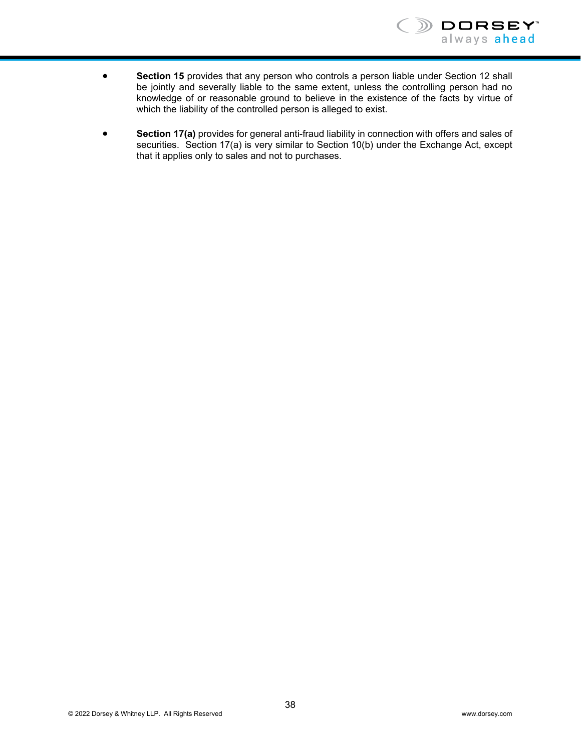

- **Section 15** provides that any person who controls a person liable under Section 12 shall be jointly and severally liable to the same extent, unless the controlling person had no knowledge of or reasonable ground to believe in the existence of the facts by virtue of which the liability of the controlled person is alleged to exist.
- **Section 17(a)** provides for general anti-fraud liability in connection with offers and sales of securities. Section 17(a) is very similar to Section 10(b) under the Exchange Act, except that it applies only to sales and not to purchases.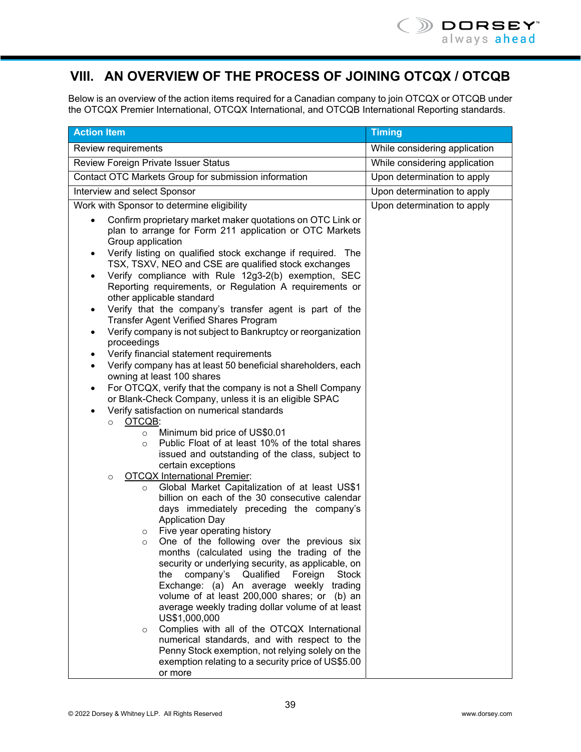# **VIII. AN OVERVIEW OF THE PROCESS OF JOINING OTCQX / OTCQB**

Below is an overview of the action items required for a Canadian company to join OTCQX or OTCQB under the OTCQX Premier International, OTCQX International, and OTCQB International Reporting standards.

| <b>Action Item</b>                                                                                                                                                                                                                                                                                                                                                                                                                                                                                                                                                                                                                                                                                                                                                                                                                                                                                                                                                                                                                                                                                                                                                                                                                                                                                                                                                                                                                                                                                                                                                                                                                                                                                                                                                                                                                                                                                                                                                                                                                                                                 | <b>Timing</b>                 |
|------------------------------------------------------------------------------------------------------------------------------------------------------------------------------------------------------------------------------------------------------------------------------------------------------------------------------------------------------------------------------------------------------------------------------------------------------------------------------------------------------------------------------------------------------------------------------------------------------------------------------------------------------------------------------------------------------------------------------------------------------------------------------------------------------------------------------------------------------------------------------------------------------------------------------------------------------------------------------------------------------------------------------------------------------------------------------------------------------------------------------------------------------------------------------------------------------------------------------------------------------------------------------------------------------------------------------------------------------------------------------------------------------------------------------------------------------------------------------------------------------------------------------------------------------------------------------------------------------------------------------------------------------------------------------------------------------------------------------------------------------------------------------------------------------------------------------------------------------------------------------------------------------------------------------------------------------------------------------------------------------------------------------------------------------------------------------------|-------------------------------|
| Review requirements                                                                                                                                                                                                                                                                                                                                                                                                                                                                                                                                                                                                                                                                                                                                                                                                                                                                                                                                                                                                                                                                                                                                                                                                                                                                                                                                                                                                                                                                                                                                                                                                                                                                                                                                                                                                                                                                                                                                                                                                                                                                | While considering application |
| Review Foreign Private Issuer Status                                                                                                                                                                                                                                                                                                                                                                                                                                                                                                                                                                                                                                                                                                                                                                                                                                                                                                                                                                                                                                                                                                                                                                                                                                                                                                                                                                                                                                                                                                                                                                                                                                                                                                                                                                                                                                                                                                                                                                                                                                               | While considering application |
| Contact OTC Markets Group for submission information                                                                                                                                                                                                                                                                                                                                                                                                                                                                                                                                                                                                                                                                                                                                                                                                                                                                                                                                                                                                                                                                                                                                                                                                                                                                                                                                                                                                                                                                                                                                                                                                                                                                                                                                                                                                                                                                                                                                                                                                                               | Upon determination to apply   |
| Interview and select Sponsor                                                                                                                                                                                                                                                                                                                                                                                                                                                                                                                                                                                                                                                                                                                                                                                                                                                                                                                                                                                                                                                                                                                                                                                                                                                                                                                                                                                                                                                                                                                                                                                                                                                                                                                                                                                                                                                                                                                                                                                                                                                       | Upon determination to apply   |
| Work with Sponsor to determine eligibility                                                                                                                                                                                                                                                                                                                                                                                                                                                                                                                                                                                                                                                                                                                                                                                                                                                                                                                                                                                                                                                                                                                                                                                                                                                                                                                                                                                                                                                                                                                                                                                                                                                                                                                                                                                                                                                                                                                                                                                                                                         | Upon determination to apply   |
| Confirm proprietary market maker quotations on OTC Link or<br>plan to arrange for Form 211 application or OTC Markets<br>Group application<br>Verify listing on qualified stock exchange if required. The<br>TSX, TSXV, NEO and CSE are qualified stock exchanges<br>Verify compliance with Rule 12g3-2(b) exemption, SEC<br>Reporting requirements, or Regulation A requirements or<br>other applicable standard<br>Verify that the company's transfer agent is part of the<br><b>Transfer Agent Verified Shares Program</b><br>Verify company is not subject to Bankruptcy or reorganization<br>$\bullet$<br>proceedings<br>Verify financial statement requirements<br>$\bullet$<br>Verify company has at least 50 beneficial shareholders, each<br>$\bullet$<br>owning at least 100 shares<br>For OTCQX, verify that the company is not a Shell Company<br>$\bullet$<br>or Blank-Check Company, unless it is an eligible SPAC<br>Verify satisfaction on numerical standards<br>$\bullet$<br>OTCQB:<br>$\circ$<br>Minimum bid price of US\$0.01<br>$\circ$<br>Public Float of at least 10% of the total shares<br>$\circ$<br>issued and outstanding of the class, subject to<br>certain exceptions<br><b>OTCQX International Premier:</b><br>$\circ$<br>Global Market Capitalization of at least US\$1<br>O<br>billion on each of the 30 consecutive calendar<br>days immediately preceding the company's<br><b>Application Day</b><br>Five year operating history<br>O<br>One of the following over the previous six<br>O<br>months (calculated using the trading of the<br>security or underlying security, as applicable, on<br>company's<br>Qualified<br>Foreign<br><b>Stock</b><br>the<br>Exchange: (a) An average weekly trading<br>volume of at least 200,000 shares; or (b) an<br>average weekly trading dollar volume of at least<br>US\$1,000,000<br>Complies with all of the OTCQX International<br>$\circ$<br>numerical standards, and with respect to the<br>Penny Stock exemption, not relying solely on the<br>exemption relating to a security price of US\$5.00 |                               |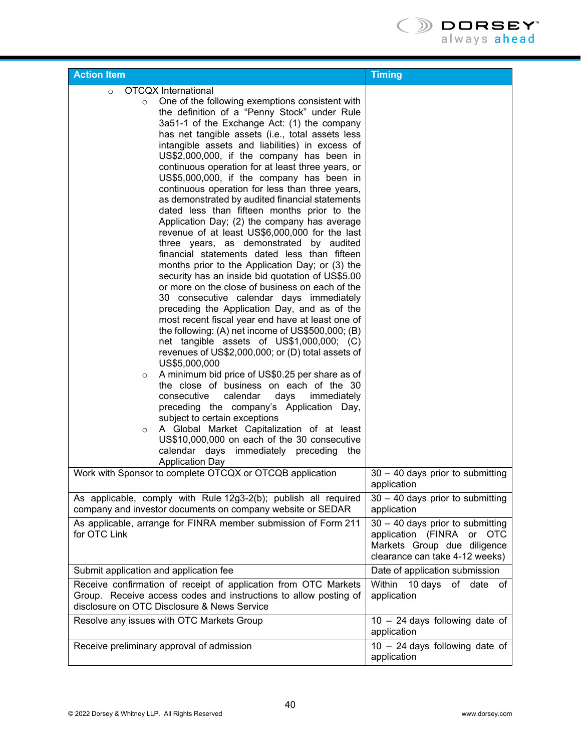| <b>Action Item</b>                                                                                              | <b>Timing</b>                                                 |
|-----------------------------------------------------------------------------------------------------------------|---------------------------------------------------------------|
| <b>OTCQX</b> International<br>$\circ$                                                                           |                                                               |
| One of the following exemptions consistent with<br>$\circ$                                                      |                                                               |
| the definition of a "Penny Stock" under Rule                                                                    |                                                               |
| 3a51-1 of the Exchange Act: (1) the company                                                                     |                                                               |
| has net tangible assets (i.e., total assets less                                                                |                                                               |
| intangible assets and liabilities) in excess of                                                                 |                                                               |
| US\$2,000,000, if the company has been in                                                                       |                                                               |
| continuous operation for at least three years, or                                                               |                                                               |
| US\$5,000,000, if the company has been in                                                                       |                                                               |
| continuous operation for less than three years,                                                                 |                                                               |
| as demonstrated by audited financial statements                                                                 |                                                               |
| dated less than fifteen months prior to the                                                                     |                                                               |
| Application Day; (2) the company has average                                                                    |                                                               |
| revenue of at least US\$6,000,000 for the last                                                                  |                                                               |
| three years, as demonstrated by audited                                                                         |                                                               |
| financial statements dated less than fifteen                                                                    |                                                               |
| months prior to the Application Day; or (3) the                                                                 |                                                               |
| security has an inside bid quotation of US\$5.00                                                                |                                                               |
| or more on the close of business on each of the                                                                 |                                                               |
| 30 consecutive calendar days immediately                                                                        |                                                               |
| preceding the Application Day, and as of the                                                                    |                                                               |
| most recent fiscal year end have at least one of                                                                |                                                               |
| the following: (A) net income of US\$500,000; (B)                                                               |                                                               |
| net tangible assets of US\$1,000,000; (C)                                                                       |                                                               |
| revenues of US\$2,000,000; or (D) total assets of                                                               |                                                               |
| US\$5,000,000                                                                                                   |                                                               |
| A minimum bid price of US\$0.25 per share as of<br>$\circ$                                                      |                                                               |
| the close of business on each of the 30                                                                         |                                                               |
| consecutive<br>calendar<br>days<br>immediately                                                                  |                                                               |
| preceding the company's Application Day,                                                                        |                                                               |
| subject to certain exceptions                                                                                   |                                                               |
| A Global Market Capitalization of at least<br>$\circ$                                                           |                                                               |
| US\$10,000,000 on each of the 30 consecutive                                                                    |                                                               |
| calendar days immediately preceding<br>the                                                                      |                                                               |
| <b>Application Day</b>                                                                                          |                                                               |
| Work with Sponsor to complete OTCQX or OTCQB application                                                        | $30 - 40$ days prior to submitting<br>application             |
| As applicable, comply with Rule 12g3-2(b); publish all required                                                 | $30 - 40$ days prior to submitting                            |
| company and investor documents on company website or SEDAR                                                      | application                                                   |
| As applicable, arrange for FINRA member submission of Form 211<br>for OTC Link                                  | $30 - 40$ days prior to submitting                            |
|                                                                                                                 | application (FINRA or OTC                                     |
|                                                                                                                 | Markets Group due diligence<br>clearance can take 4-12 weeks) |
| Submit application and application fee                                                                          | Date of application submission                                |
|                                                                                                                 |                                                               |
| Receive confirmation of receipt of application from OTC Markets                                                 | Within 10 days of date of                                     |
| Group. Receive access codes and instructions to allow posting of<br>disclosure on OTC Disclosure & News Service | application                                                   |
|                                                                                                                 |                                                               |
| Resolve any issues with OTC Markets Group                                                                       | $10 - 24$ days following date of                              |
|                                                                                                                 | application                                                   |
| Receive preliminary approval of admission                                                                       | $10 - 24$ days following date of                              |
|                                                                                                                 | application                                                   |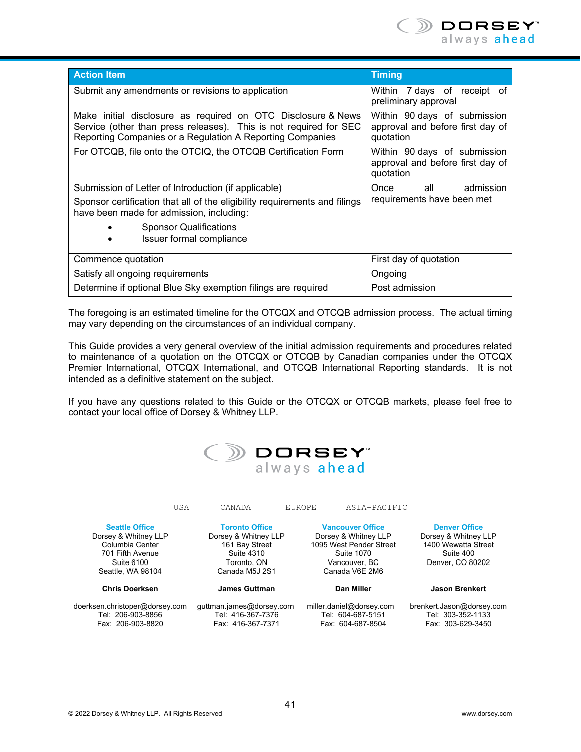

| <b>Action Item</b>                                                                                                                                                                             | <b>Timing</b>                                                                 |
|------------------------------------------------------------------------------------------------------------------------------------------------------------------------------------------------|-------------------------------------------------------------------------------|
| Submit any amendments or revisions to application                                                                                                                                              | Within 7 days of receipt of<br>preliminary approval                           |
| Make initial disclosure as required on OTC Disclosure & News<br>Service (other than press releases). This is not required for SEC<br>Reporting Companies or a Regulation A Reporting Companies | Within 90 days of submission<br>approval and before first day of<br>quotation |
| For OTCQB, file onto the OTCIQ, the OTCQB Certification Form                                                                                                                                   | Within 90 days of submission<br>approval and before first day of<br>quotation |
| Submission of Letter of Introduction (if applicable)                                                                                                                                           | Once<br>all<br>admission                                                      |
| Sponsor certification that all of the eligibility requirements and filings<br>have been made for admission, including:                                                                         | requirements have been met                                                    |
| <b>Sponsor Qualifications</b><br>Issuer formal compliance                                                                                                                                      |                                                                               |
| Commence quotation                                                                                                                                                                             | First day of quotation                                                        |
| Satisfy all ongoing requirements                                                                                                                                                               | Ongoing                                                                       |
| Determine if optional Blue Sky exemption filings are required                                                                                                                                  | Post admission                                                                |

The foregoing is an estimated timeline for the OTCQX and OTCQB admission process. The actual timing may vary depending on the circumstances of an individual company.

This Guide provides a very general overview of the initial admission requirements and procedures related to maintenance of a quotation on the OTCQX or OTCQB by Canadian companies under the OTCQX Premier International, OTCQX International, and OTCQB International Reporting standards. It is not intended as a definitive statement on the subject.

If you have any questions related to this Guide or the OTCQX or OTCQB markets, please feel free to contact your local office of Dorsey & Whitney LLP.

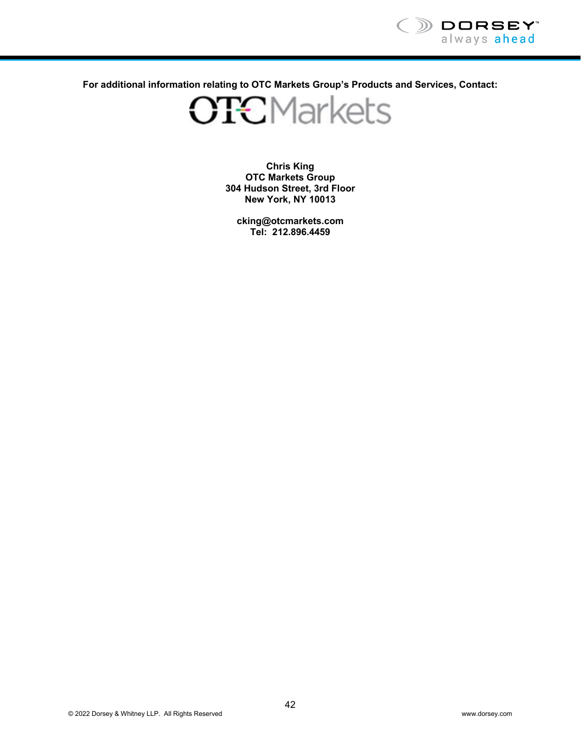

**For additional information relating to OTC Markets Group's Products and Services, Contact:** 

**OTCMarkets** 

**Chris King OTC Markets Group 304 Hudson Street, 3rd Floor New York, NY 10013** 

**cking@otcmarkets.com Tel: 212.896.4459**